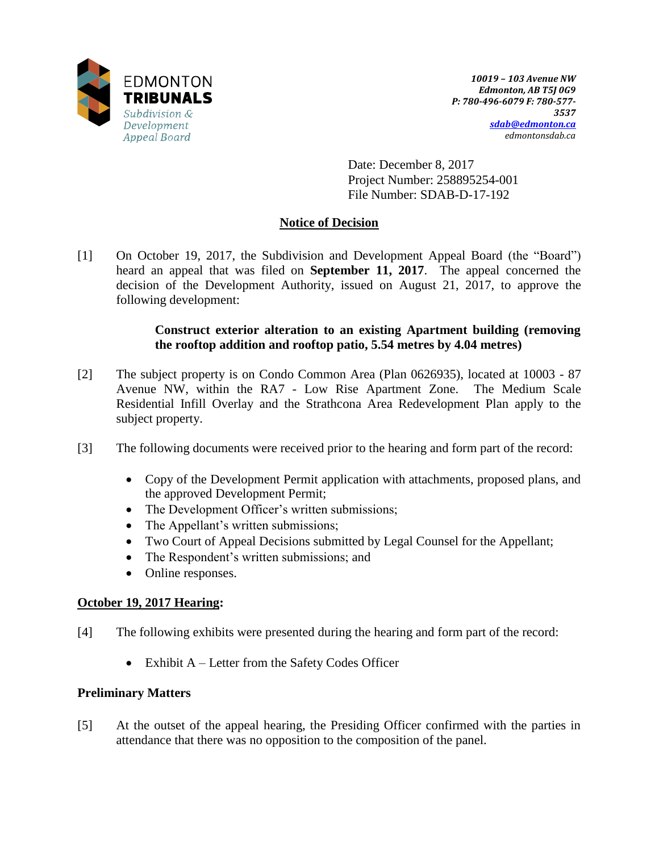

Date: December 8, 2017 Project Number: 258895254-001 File Number: SDAB-D-17-192

# **Notice of Decision**

[1] On October 19, 2017, the Subdivision and Development Appeal Board (the "Board") heard an appeal that was filed on **September 11, 2017**. The appeal concerned the decision of the Development Authority, issued on August 21, 2017, to approve the following development:

# **Construct exterior alteration to an existing Apartment building (removing the rooftop addition and rooftop patio, 5.54 metres by 4.04 metres)**

- [2] The subject property is on Condo Common Area (Plan 0626935), located at 10003 87 Avenue NW, within the RA7 - Low Rise Apartment Zone. The Medium Scale Residential Infill Overlay and the Strathcona Area Redevelopment Plan apply to the subject property.
- [3] The following documents were received prior to the hearing and form part of the record:
	- Copy of the Development Permit application with attachments, proposed plans, and the approved Development Permit;
	- The Development Officer's written submissions;
	- The Appellant's written submissions;
	- Two Court of Appeal Decisions submitted by Legal Counsel for the Appellant;
	- The Respondent's written submissions; and
	- Online responses.

# **October 19, 2017 Hearing:**

- [4] The following exhibits were presented during the hearing and form part of the record:
	- $\bullet$  Exhibit A Letter from the Safety Codes Officer

# **Preliminary Matters**

[5] At the outset of the appeal hearing, the Presiding Officer confirmed with the parties in attendance that there was no opposition to the composition of the panel.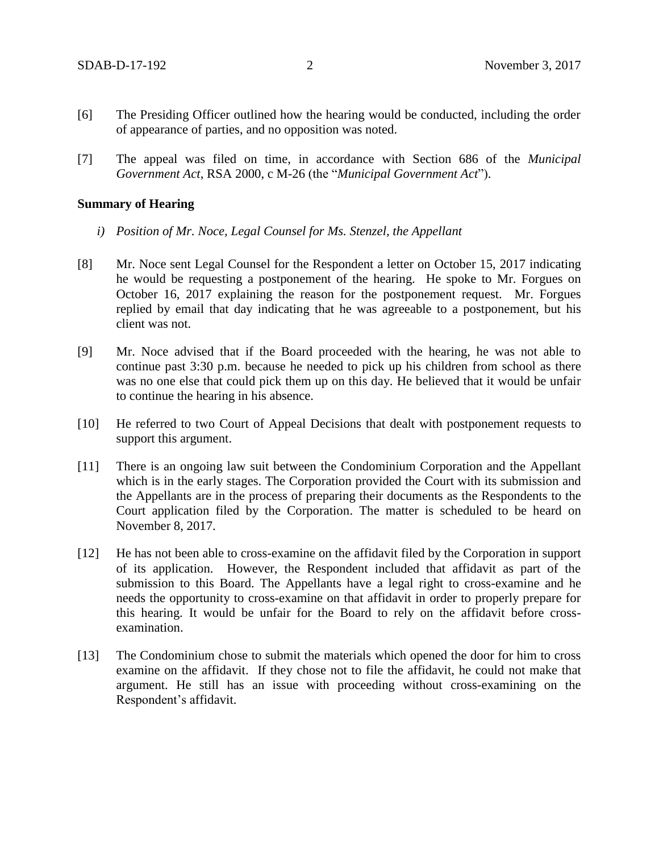- [6] The Presiding Officer outlined how the hearing would be conducted, including the order of appearance of parties, and no opposition was noted.
- [7] The appeal was filed on time, in accordance with Section 686 of the *Municipal Government Act*, RSA 2000, c M-26 (the "*Municipal Government Act*").

## **Summary of Hearing**

- *i) Position of Mr. Noce, Legal Counsel for Ms. Stenzel, the Appellant*
- [8] Mr. Noce sent Legal Counsel for the Respondent a letter on October 15, 2017 indicating he would be requesting a postponement of the hearing. He spoke to Mr. Forgues on October 16, 2017 explaining the reason for the postponement request. Mr. Forgues replied by email that day indicating that he was agreeable to a postponement, but his client was not.
- [9] Mr. Noce advised that if the Board proceeded with the hearing, he was not able to continue past 3:30 p.m. because he needed to pick up his children from school as there was no one else that could pick them up on this day. He believed that it would be unfair to continue the hearing in his absence.
- [10] He referred to two Court of Appeal Decisions that dealt with postponement requests to support this argument.
- [11] There is an ongoing law suit between the Condominium Corporation and the Appellant which is in the early stages. The Corporation provided the Court with its submission and the Appellants are in the process of preparing their documents as the Respondents to the Court application filed by the Corporation. The matter is scheduled to be heard on November 8, 2017.
- [12] He has not been able to cross-examine on the affidavit filed by the Corporation in support of its application. However, the Respondent included that affidavit as part of the submission to this Board. The Appellants have a legal right to cross-examine and he needs the opportunity to cross-examine on that affidavit in order to properly prepare for this hearing. It would be unfair for the Board to rely on the affidavit before crossexamination.
- [13] The Condominium chose to submit the materials which opened the door for him to cross examine on the affidavit. If they chose not to file the affidavit, he could not make that argument. He still has an issue with proceeding without cross-examining on the Respondent's affidavit.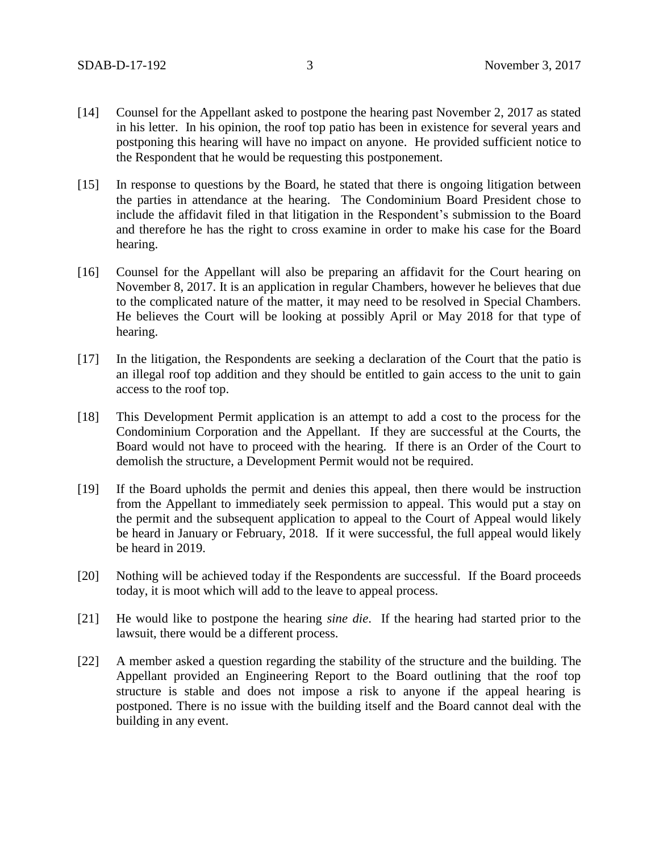- [14] Counsel for the Appellant asked to postpone the hearing past November 2, 2017 as stated in his letter. In his opinion, the roof top patio has been in existence for several years and postponing this hearing will have no impact on anyone. He provided sufficient notice to the Respondent that he would be requesting this postponement.
- [15] In response to questions by the Board, he stated that there is ongoing litigation between the parties in attendance at the hearing. The Condominium Board President chose to include the affidavit filed in that litigation in the Respondent's submission to the Board and therefore he has the right to cross examine in order to make his case for the Board hearing.
- [16] Counsel for the Appellant will also be preparing an affidavit for the Court hearing on November 8, 2017. It is an application in regular Chambers, however he believes that due to the complicated nature of the matter, it may need to be resolved in Special Chambers. He believes the Court will be looking at possibly April or May 2018 for that type of hearing.
- [17] In the litigation, the Respondents are seeking a declaration of the Court that the patio is an illegal roof top addition and they should be entitled to gain access to the unit to gain access to the roof top.
- [18] This Development Permit application is an attempt to add a cost to the process for the Condominium Corporation and the Appellant. If they are successful at the Courts, the Board would not have to proceed with the hearing. If there is an Order of the Court to demolish the structure, a Development Permit would not be required.
- [19] If the Board upholds the permit and denies this appeal, then there would be instruction from the Appellant to immediately seek permission to appeal. This would put a stay on the permit and the subsequent application to appeal to the Court of Appeal would likely be heard in January or February, 2018. If it were successful, the full appeal would likely be heard in 2019.
- [20] Nothing will be achieved today if the Respondents are successful. If the Board proceeds today, it is moot which will add to the leave to appeal process.
- [21] He would like to postpone the hearing *sine die*. If the hearing had started prior to the lawsuit, there would be a different process.
- [22] A member asked a question regarding the stability of the structure and the building. The Appellant provided an Engineering Report to the Board outlining that the roof top structure is stable and does not impose a risk to anyone if the appeal hearing is postponed. There is no issue with the building itself and the Board cannot deal with the building in any event.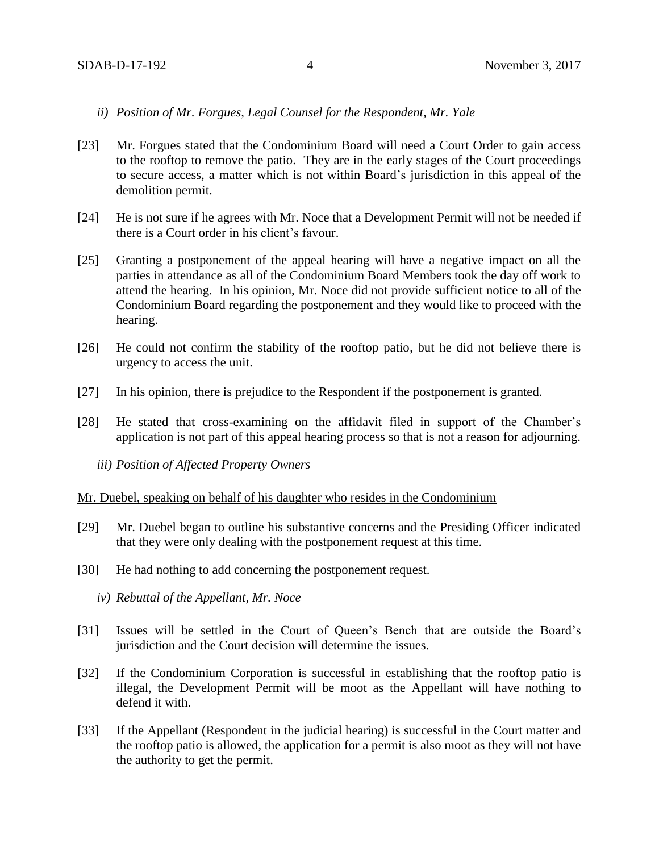# *ii) Position of Mr. Forgues, Legal Counsel for the Respondent, Mr. Yale*

- [23] Mr. Forgues stated that the Condominium Board will need a Court Order to gain access to the rooftop to remove the patio. They are in the early stages of the Court proceedings to secure access, a matter which is not within Board's jurisdiction in this appeal of the demolition permit.
- [24] He is not sure if he agrees with Mr. Noce that a Development Permit will not be needed if there is a Court order in his client's favour.
- [25] Granting a postponement of the appeal hearing will have a negative impact on all the parties in attendance as all of the Condominium Board Members took the day off work to attend the hearing. In his opinion, Mr. Noce did not provide sufficient notice to all of the Condominium Board regarding the postponement and they would like to proceed with the hearing.
- [26] He could not confirm the stability of the rooftop patio, but he did not believe there is urgency to access the unit.
- [27] In his opinion, there is prejudice to the Respondent if the postponement is granted.
- [28] He stated that cross-examining on the affidavit filed in support of the Chamber's application is not part of this appeal hearing process so that is not a reason for adjourning.
	- *iii) Position of Affected Property Owners*

#### Mr. Duebel, speaking on behalf of his daughter who resides in the Condominium

- [29] Mr. Duebel began to outline his substantive concerns and the Presiding Officer indicated that they were only dealing with the postponement request at this time.
- [30] He had nothing to add concerning the postponement request.
	- *iv) Rebuttal of the Appellant, Mr. Noce*
- [31] Issues will be settled in the Court of Queen's Bench that are outside the Board's jurisdiction and the Court decision will determine the issues.
- [32] If the Condominium Corporation is successful in establishing that the rooftop patio is illegal, the Development Permit will be moot as the Appellant will have nothing to defend it with.
- [33] If the Appellant (Respondent in the judicial hearing) is successful in the Court matter and the rooftop patio is allowed, the application for a permit is also moot as they will not have the authority to get the permit.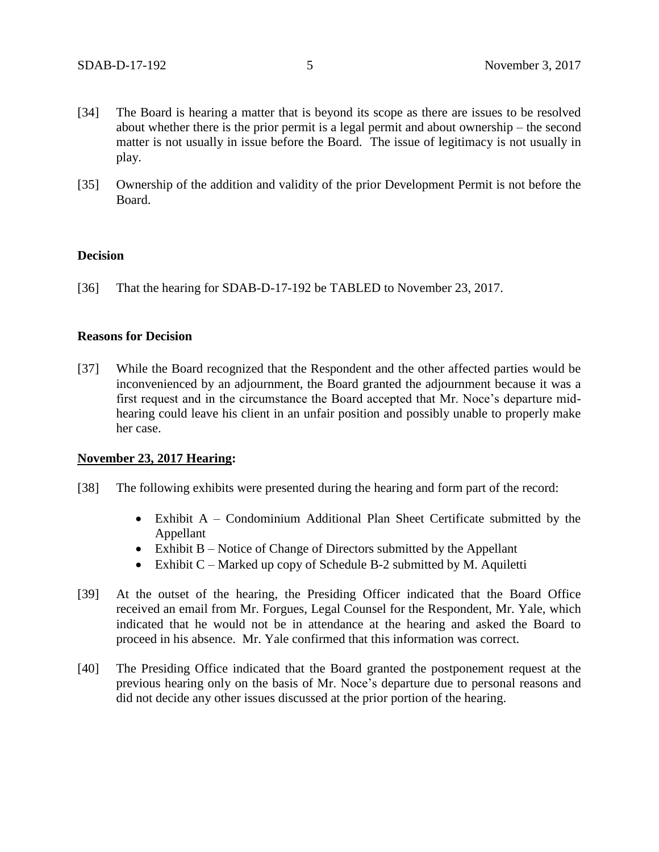- [34] The Board is hearing a matter that is beyond its scope as there are issues to be resolved about whether there is the prior permit is a legal permit and about ownership – the second matter is not usually in issue before the Board. The issue of legitimacy is not usually in play.
- [35] Ownership of the addition and validity of the prior Development Permit is not before the Board.

# **Decision**

[36] That the hearing for SDAB-D-17-192 be TABLED to November 23, 2017.

## **Reasons for Decision**

[37] While the Board recognized that the Respondent and the other affected parties would be inconvenienced by an adjournment, the Board granted the adjournment because it was a first request and in the circumstance the Board accepted that Mr. Noce's departure midhearing could leave his client in an unfair position and possibly unable to properly make her case.

## **November 23, 2017 Hearing:**

- [38] The following exhibits were presented during the hearing and form part of the record:
	- Exhibit A Condominium Additional Plan Sheet Certificate submitted by the Appellant
	- Exhibit B Notice of Change of Directors submitted by the Appellant
	- Exhibit  $C$  Marked up copy of Schedule B-2 submitted by M. Aquiletti
- [39] At the outset of the hearing, the Presiding Officer indicated that the Board Office received an email from Mr. Forgues, Legal Counsel for the Respondent, Mr. Yale, which indicated that he would not be in attendance at the hearing and asked the Board to proceed in his absence. Mr. Yale confirmed that this information was correct.
- [40] The Presiding Office indicated that the Board granted the postponement request at the previous hearing only on the basis of Mr. Noce's departure due to personal reasons and did not decide any other issues discussed at the prior portion of the hearing.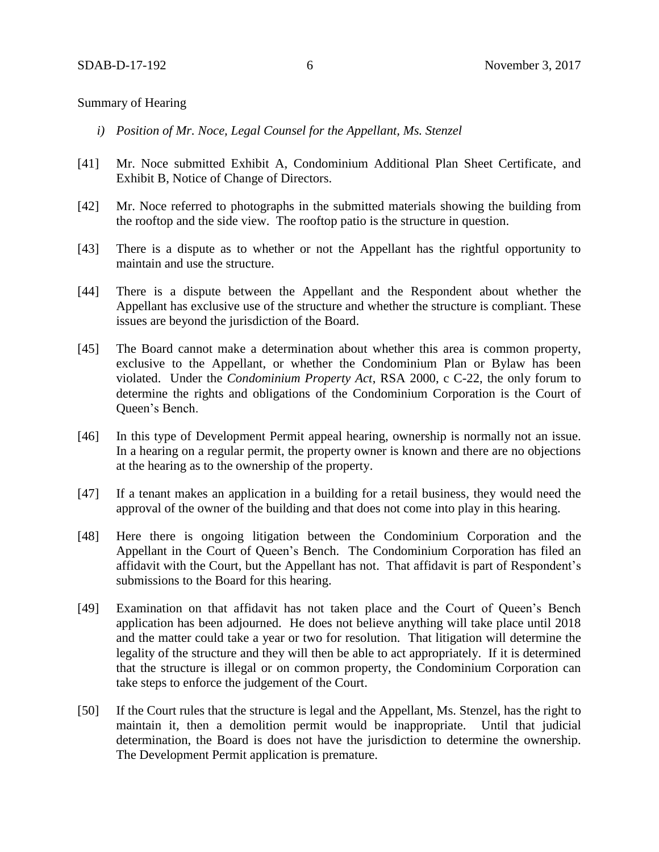## Summary of Hearing

- *i) Position of Mr. Noce, Legal Counsel for the Appellant, Ms. Stenzel*
- [41] Mr. Noce submitted Exhibit A, Condominium Additional Plan Sheet Certificate, and Exhibit B, Notice of Change of Directors.
- [42] Mr. Noce referred to photographs in the submitted materials showing the building from the rooftop and the side view. The rooftop patio is the structure in question.
- [43] There is a dispute as to whether or not the Appellant has the rightful opportunity to maintain and use the structure.
- [44] There is a dispute between the Appellant and the Respondent about whether the Appellant has exclusive use of the structure and whether the structure is compliant. These issues are beyond the jurisdiction of the Board.
- [45] The Board cannot make a determination about whether this area is common property, exclusive to the Appellant, or whether the Condominium Plan or Bylaw has been violated. Under the *Condominium Property Act*, RSA 2000, c C-22, the only forum to determine the rights and obligations of the Condominium Corporation is the Court of Queen's Bench.
- [46] In this type of Development Permit appeal hearing, ownership is normally not an issue. In a hearing on a regular permit, the property owner is known and there are no objections at the hearing as to the ownership of the property.
- [47] If a tenant makes an application in a building for a retail business, they would need the approval of the owner of the building and that does not come into play in this hearing.
- [48] Here there is ongoing litigation between the Condominium Corporation and the Appellant in the Court of Queen's Bench. The Condominium Corporation has filed an affidavit with the Court, but the Appellant has not. That affidavit is part of Respondent's submissions to the Board for this hearing.
- [49] Examination on that affidavit has not taken place and the Court of Queen's Bench application has been adjourned. He does not believe anything will take place until 2018 and the matter could take a year or two for resolution. That litigation will determine the legality of the structure and they will then be able to act appropriately. If it is determined that the structure is illegal or on common property, the Condominium Corporation can take steps to enforce the judgement of the Court.
- [50] If the Court rules that the structure is legal and the Appellant, Ms. Stenzel, has the right to maintain it, then a demolition permit would be inappropriate. Until that judicial determination, the Board is does not have the jurisdiction to determine the ownership. The Development Permit application is premature.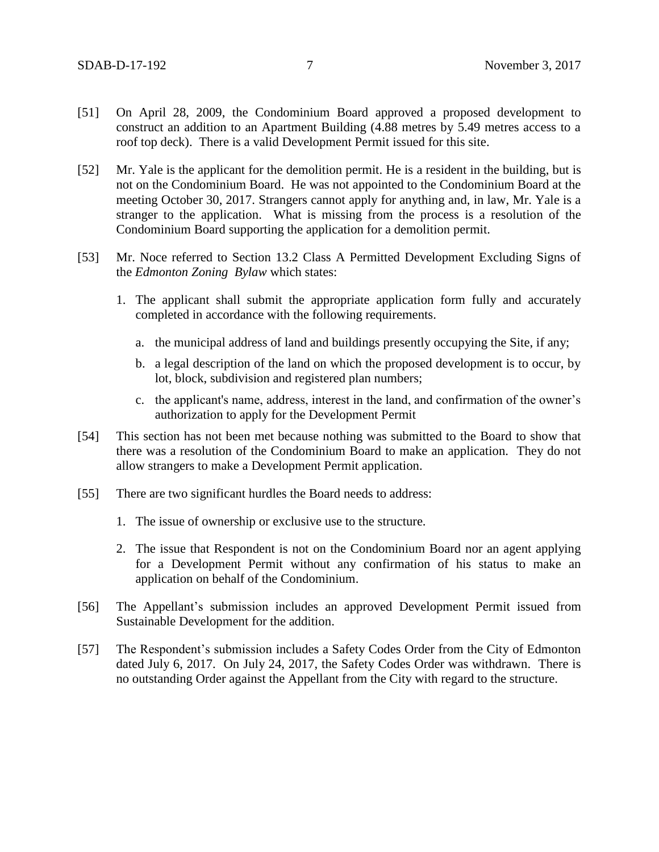- [51] On April 28, 2009, the Condominium Board approved a proposed development to construct an addition to an Apartment Building (4.88 metres by 5.49 metres access to a roof top deck). There is a valid Development Permit issued for this site.
- [52] Mr. Yale is the applicant for the demolition permit. He is a resident in the building, but is not on the Condominium Board. He was not appointed to the Condominium Board at the meeting October 30, 2017. Strangers cannot apply for anything and, in law, Mr. Yale is a stranger to the application. What is missing from the process is a resolution of the Condominium Board supporting the application for a demolition permit.
- [53] Mr. Noce referred to Section 13.2 Class A Permitted Development Excluding Signs of the *Edmonton Zoning Bylaw* which states:
	- 1. The applicant shall submit the appropriate application form fully and accurately completed in accordance with the following requirements.
		- a. the municipal address of land and buildings presently occupying the Site, if any;
		- b. a legal description of the land on which the proposed development is to occur, by lot, block, subdivision and registered plan numbers;
		- c. the applicant's name, address, interest in the land, and confirmation of the owner's authorization to apply for the Development Permit
- [54] This section has not been met because nothing was submitted to the Board to show that there was a resolution of the Condominium Board to make an application. They do not allow strangers to make a Development Permit application.
- [55] There are two significant hurdles the Board needs to address:
	- 1. The issue of ownership or exclusive use to the structure.
	- 2. The issue that Respondent is not on the Condominium Board nor an agent applying for a Development Permit without any confirmation of his status to make an application on behalf of the Condominium.
- [56] The Appellant's submission includes an approved Development Permit issued from Sustainable Development for the addition.
- [57] The Respondent's submission includes a Safety Codes Order from the City of Edmonton dated July 6, 2017. On July 24, 2017, the Safety Codes Order was withdrawn. There is no outstanding Order against the Appellant from the City with regard to the structure.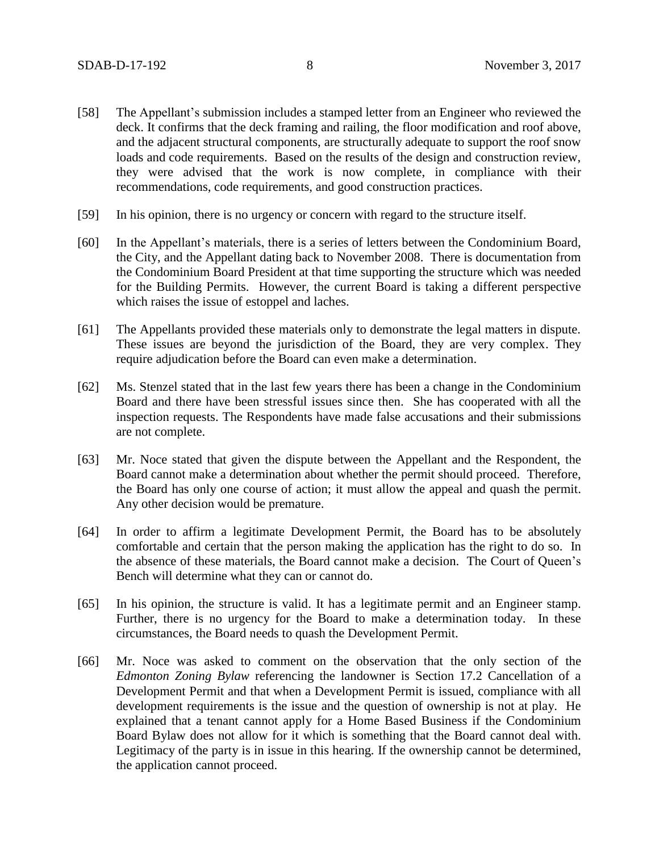- [58] The Appellant's submission includes a stamped letter from an Engineer who reviewed the deck. It confirms that the deck framing and railing, the floor modification and roof above, and the adjacent structural components, are structurally adequate to support the roof snow loads and code requirements. Based on the results of the design and construction review, they were advised that the work is now complete, in compliance with their recommendations, code requirements, and good construction practices.
- [59] In his opinion, there is no urgency or concern with regard to the structure itself.
- [60] In the Appellant's materials, there is a series of letters between the Condominium Board, the City, and the Appellant dating back to November 2008. There is documentation from the Condominium Board President at that time supporting the structure which was needed for the Building Permits. However, the current Board is taking a different perspective which raises the issue of estoppel and laches.
- [61] The Appellants provided these materials only to demonstrate the legal matters in dispute. These issues are beyond the jurisdiction of the Board, they are very complex. They require adjudication before the Board can even make a determination.
- [62] Ms. Stenzel stated that in the last few years there has been a change in the Condominium Board and there have been stressful issues since then. She has cooperated with all the inspection requests. The Respondents have made false accusations and their submissions are not complete.
- [63] Mr. Noce stated that given the dispute between the Appellant and the Respondent, the Board cannot make a determination about whether the permit should proceed. Therefore, the Board has only one course of action; it must allow the appeal and quash the permit. Any other decision would be premature.
- [64] In order to affirm a legitimate Development Permit, the Board has to be absolutely comfortable and certain that the person making the application has the right to do so. In the absence of these materials, the Board cannot make a decision. The Court of Queen's Bench will determine what they can or cannot do.
- [65] In his opinion, the structure is valid. It has a legitimate permit and an Engineer stamp. Further, there is no urgency for the Board to make a determination today. In these circumstances, the Board needs to quash the Development Permit.
- [66] Mr. Noce was asked to comment on the observation that the only section of the *Edmonton Zoning Bylaw* referencing the landowner is Section 17.2 Cancellation of a Development Permit and that when a Development Permit is issued, compliance with all development requirements is the issue and the question of ownership is not at play. He explained that a tenant cannot apply for a Home Based Business if the Condominium Board Bylaw does not allow for it which is something that the Board cannot deal with. Legitimacy of the party is in issue in this hearing. If the ownership cannot be determined, the application cannot proceed.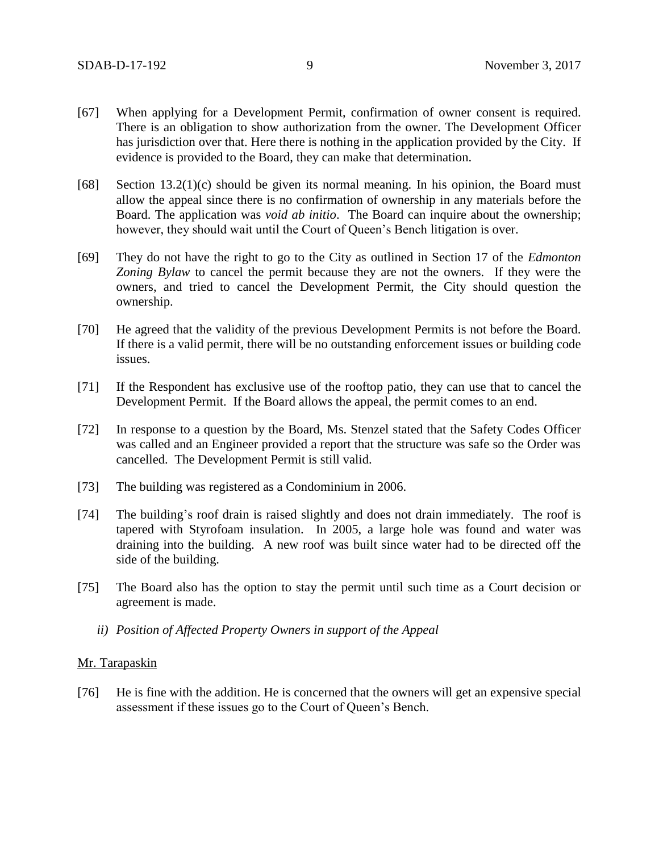- [67] When applying for a Development Permit, confirmation of owner consent is required. There is an obligation to show authorization from the owner. The Development Officer has jurisdiction over that. Here there is nothing in the application provided by the City. If evidence is provided to the Board, they can make that determination.
- [68] Section 13.2(1)(c) should be given its normal meaning. In his opinion, the Board must allow the appeal since there is no confirmation of ownership in any materials before the Board. The application was *void ab initio*. The Board can inquire about the ownership; however, they should wait until the Court of Queen's Bench litigation is over.
- [69] They do not have the right to go to the City as outlined in Section 17 of the *Edmonton Zoning Bylaw* to cancel the permit because they are not the owners. If they were the owners, and tried to cancel the Development Permit, the City should question the ownership.
- [70] He agreed that the validity of the previous Development Permits is not before the Board. If there is a valid permit, there will be no outstanding enforcement issues or building code issues.
- [71] If the Respondent has exclusive use of the rooftop patio, they can use that to cancel the Development Permit. If the Board allows the appeal, the permit comes to an end.
- [72] In response to a question by the Board, Ms. Stenzel stated that the Safety Codes Officer was called and an Engineer provided a report that the structure was safe so the Order was cancelled. The Development Permit is still valid.
- [73] The building was registered as a Condominium in 2006.
- [74] The building's roof drain is raised slightly and does not drain immediately. The roof is tapered with Styrofoam insulation. In 2005, a large hole was found and water was draining into the building. A new roof was built since water had to be directed off the side of the building.
- [75] The Board also has the option to stay the permit until such time as a Court decision or agreement is made.
	- *ii) Position of Affected Property Owners in support of the Appeal*

## Mr. Tarapaskin

[76] He is fine with the addition. He is concerned that the owners will get an expensive special assessment if these issues go to the Court of Queen's Bench.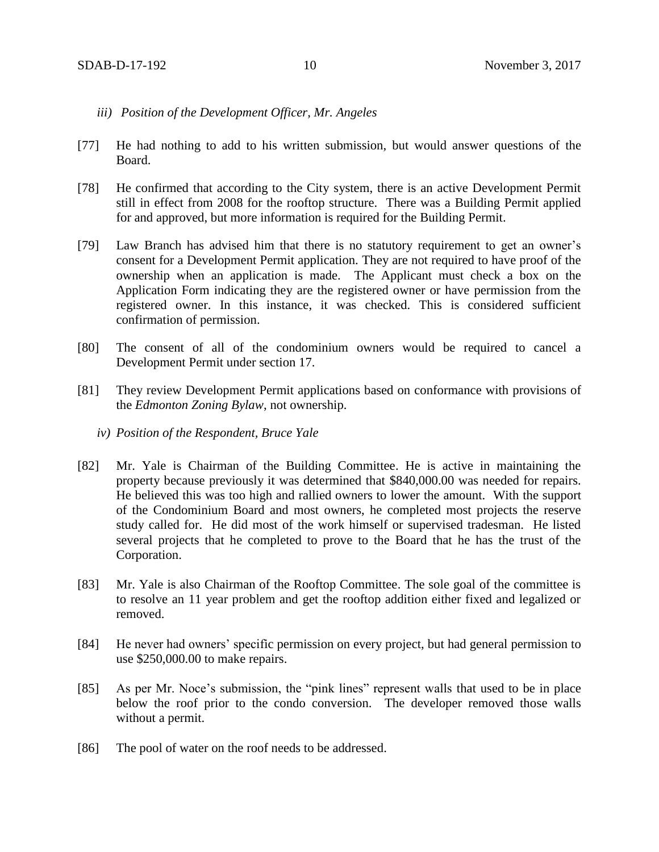- *iii) Position of the Development Officer, Mr. Angeles*
- [77] He had nothing to add to his written submission, but would answer questions of the Board.
- [78] He confirmed that according to the City system, there is an active Development Permit still in effect from 2008 for the rooftop structure. There was a Building Permit applied for and approved, but more information is required for the Building Permit.
- [79] Law Branch has advised him that there is no statutory requirement to get an owner's consent for a Development Permit application. They are not required to have proof of the ownership when an application is made. The Applicant must check a box on the Application Form indicating they are the registered owner or have permission from the registered owner. In this instance, it was checked. This is considered sufficient confirmation of permission.
- [80] The consent of all of the condominium owners would be required to cancel a Development Permit under section 17.
- [81] They review Development Permit applications based on conformance with provisions of the *Edmonton Zoning Bylaw*, not ownership.
	- *iv) Position of the Respondent, Bruce Yale*
- [82] Mr. Yale is Chairman of the Building Committee. He is active in maintaining the property because previously it was determined that \$840,000.00 was needed for repairs. He believed this was too high and rallied owners to lower the amount. With the support of the Condominium Board and most owners, he completed most projects the reserve study called for. He did most of the work himself or supervised tradesman. He listed several projects that he completed to prove to the Board that he has the trust of the Corporation.
- [83] Mr. Yale is also Chairman of the Rooftop Committee. The sole goal of the committee is to resolve an 11 year problem and get the rooftop addition either fixed and legalized or removed.
- [84] He never had owners' specific permission on every project, but had general permission to use \$250,000.00 to make repairs.
- [85] As per Mr. Noce's submission, the "pink lines" represent walls that used to be in place below the roof prior to the condo conversion. The developer removed those walls without a permit.
- [86] The pool of water on the roof needs to be addressed.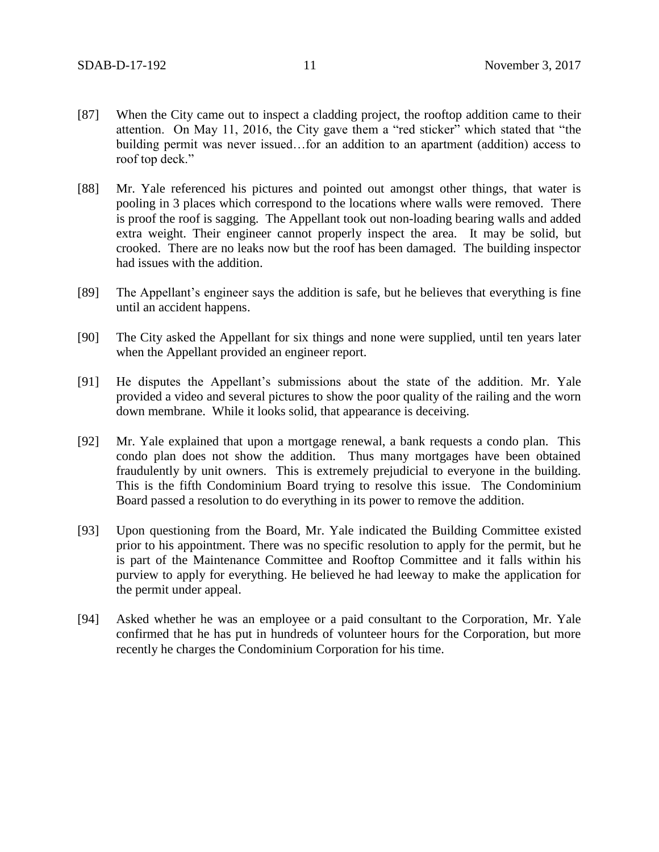- [87] When the City came out to inspect a cladding project, the rooftop addition came to their attention. On May 11, 2016, the City gave them a "red sticker" which stated that "the building permit was never issued…for an addition to an apartment (addition) access to roof top deck."
- [88] Mr. Yale referenced his pictures and pointed out amongst other things, that water is pooling in 3 places which correspond to the locations where walls were removed. There is proof the roof is sagging. The Appellant took out non-loading bearing walls and added extra weight. Their engineer cannot properly inspect the area. It may be solid, but crooked. There are no leaks now but the roof has been damaged. The building inspector had issues with the addition.
- [89] The Appellant's engineer says the addition is safe, but he believes that everything is fine until an accident happens.
- [90] The City asked the Appellant for six things and none were supplied, until ten years later when the Appellant provided an engineer report.
- [91] He disputes the Appellant's submissions about the state of the addition. Mr. Yale provided a video and several pictures to show the poor quality of the railing and the worn down membrane. While it looks solid, that appearance is deceiving.
- [92] Mr. Yale explained that upon a mortgage renewal, a bank requests a condo plan. This condo plan does not show the addition. Thus many mortgages have been obtained fraudulently by unit owners. This is extremely prejudicial to everyone in the building. This is the fifth Condominium Board trying to resolve this issue. The Condominium Board passed a resolution to do everything in its power to remove the addition.
- [93] Upon questioning from the Board, Mr. Yale indicated the Building Committee existed prior to his appointment. There was no specific resolution to apply for the permit, but he is part of the Maintenance Committee and Rooftop Committee and it falls within his purview to apply for everything. He believed he had leeway to make the application for the permit under appeal.
- [94] Asked whether he was an employee or a paid consultant to the Corporation, Mr. Yale confirmed that he has put in hundreds of volunteer hours for the Corporation, but more recently he charges the Condominium Corporation for his time.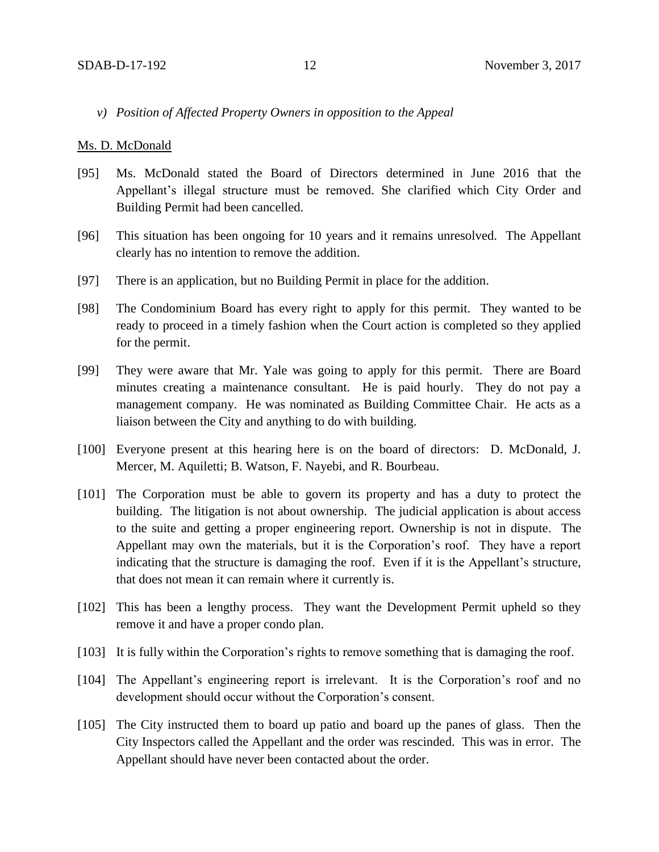*v) Position of Affected Property Owners in opposition to the Appeal*

#### Ms. D. McDonald

- [95] Ms. McDonald stated the Board of Directors determined in June 2016 that the Appellant's illegal structure must be removed. She clarified which City Order and Building Permit had been cancelled.
- [96] This situation has been ongoing for 10 years and it remains unresolved. The Appellant clearly has no intention to remove the addition.
- [97] There is an application, but no Building Permit in place for the addition.
- [98] The Condominium Board has every right to apply for this permit. They wanted to be ready to proceed in a timely fashion when the Court action is completed so they applied for the permit.
- [99] They were aware that Mr. Yale was going to apply for this permit. There are Board minutes creating a maintenance consultant. He is paid hourly. They do not pay a management company. He was nominated as Building Committee Chair. He acts as a liaison between the City and anything to do with building.
- [100] Everyone present at this hearing here is on the board of directors: D. McDonald, J. Mercer, M. Aquiletti; B. Watson, F. Nayebi, and R. Bourbeau.
- [101] The Corporation must be able to govern its property and has a duty to protect the building. The litigation is not about ownership. The judicial application is about access to the suite and getting a proper engineering report. Ownership is not in dispute. The Appellant may own the materials, but it is the Corporation's roof. They have a report indicating that the structure is damaging the roof. Even if it is the Appellant's structure, that does not mean it can remain where it currently is.
- [102] This has been a lengthy process. They want the Development Permit upheld so they remove it and have a proper condo plan.
- [103] It is fully within the Corporation's rights to remove something that is damaging the roof.
- [104] The Appellant's engineering report is irrelevant. It is the Corporation's roof and no development should occur without the Corporation's consent.
- [105] The City instructed them to board up patio and board up the panes of glass. Then the City Inspectors called the Appellant and the order was rescinded. This was in error. The Appellant should have never been contacted about the order.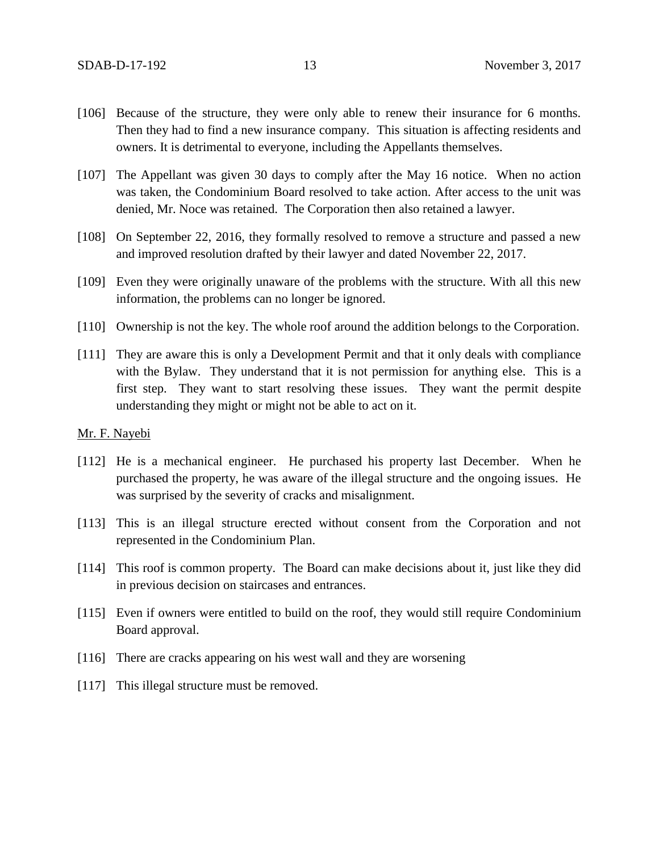- [106] Because of the structure, they were only able to renew their insurance for 6 months. Then they had to find a new insurance company. This situation is affecting residents and owners. It is detrimental to everyone, including the Appellants themselves.
- [107] The Appellant was given 30 days to comply after the May 16 notice. When no action was taken, the Condominium Board resolved to take action. After access to the unit was denied, Mr. Noce was retained. The Corporation then also retained a lawyer.
- [108] On September 22, 2016, they formally resolved to remove a structure and passed a new and improved resolution drafted by their lawyer and dated November 22, 2017.
- [109] Even they were originally unaware of the problems with the structure. With all this new information, the problems can no longer be ignored.
- [110] Ownership is not the key. The whole roof around the addition belongs to the Corporation.
- [111] They are aware this is only a Development Permit and that it only deals with compliance with the Bylaw. They understand that it is not permission for anything else. This is a first step. They want to start resolving these issues. They want the permit despite understanding they might or might not be able to act on it.

#### Mr. F. Nayebi

- [112] He is a mechanical engineer. He purchased his property last December. When he purchased the property, he was aware of the illegal structure and the ongoing issues. He was surprised by the severity of cracks and misalignment.
- [113] This is an illegal structure erected without consent from the Corporation and not represented in the Condominium Plan.
- [114] This roof is common property. The Board can make decisions about it, just like they did in previous decision on staircases and entrances.
- [115] Even if owners were entitled to build on the roof, they would still require Condominium Board approval.
- [116] There are cracks appearing on his west wall and they are worsening
- [117] This illegal structure must be removed.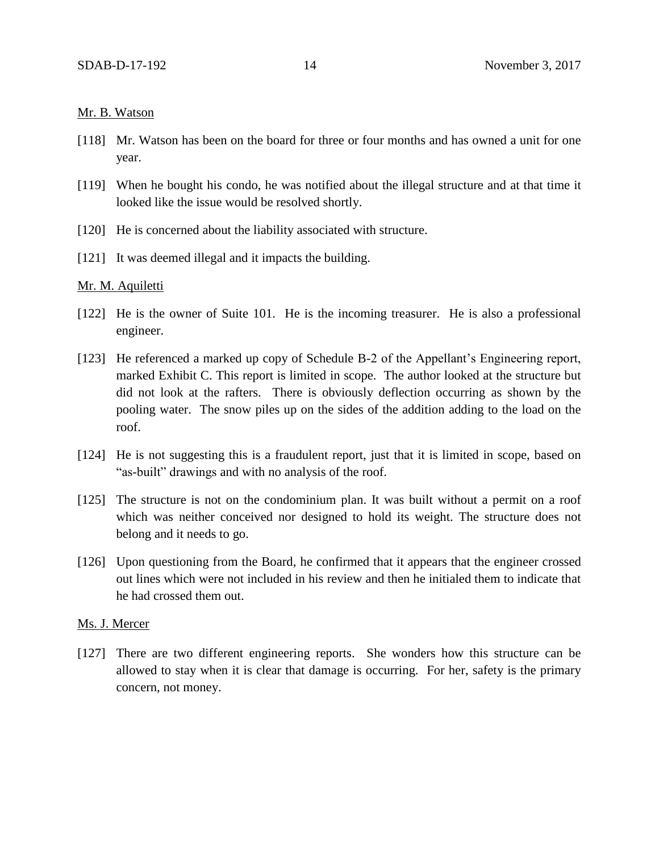# Mr. B. Watson

- [118] Mr. Watson has been on the board for three or four months and has owned a unit for one year.
- [119] When he bought his condo, he was notified about the illegal structure and at that time it looked like the issue would be resolved shortly.
- [120] He is concerned about the liability associated with structure.
- [121] It was deemed illegal and it impacts the building.

## Mr. M. Aquiletti

- [122] He is the owner of Suite 101. He is the incoming treasurer. He is also a professional engineer.
- [123] He referenced a marked up copy of Schedule B-2 of the Appellant's Engineering report, marked Exhibit C. This report is limited in scope. The author looked at the structure but did not look at the rafters. There is obviously deflection occurring as shown by the pooling water. The snow piles up on the sides of the addition adding to the load on the roof.
- [124] He is not suggesting this is a fraudulent report, just that it is limited in scope, based on "as-built" drawings and with no analysis of the roof.
- [125] The structure is not on the condominium plan. It was built without a permit on a roof which was neither conceived nor designed to hold its weight. The structure does not belong and it needs to go.
- [126] Upon questioning from the Board, he confirmed that it appears that the engineer crossed out lines which were not included in his review and then he initialed them to indicate that he had crossed them out.

#### Ms. J. Mercer

[127] There are two different engineering reports. She wonders how this structure can be allowed to stay when it is clear that damage is occurring. For her, safety is the primary concern, not money.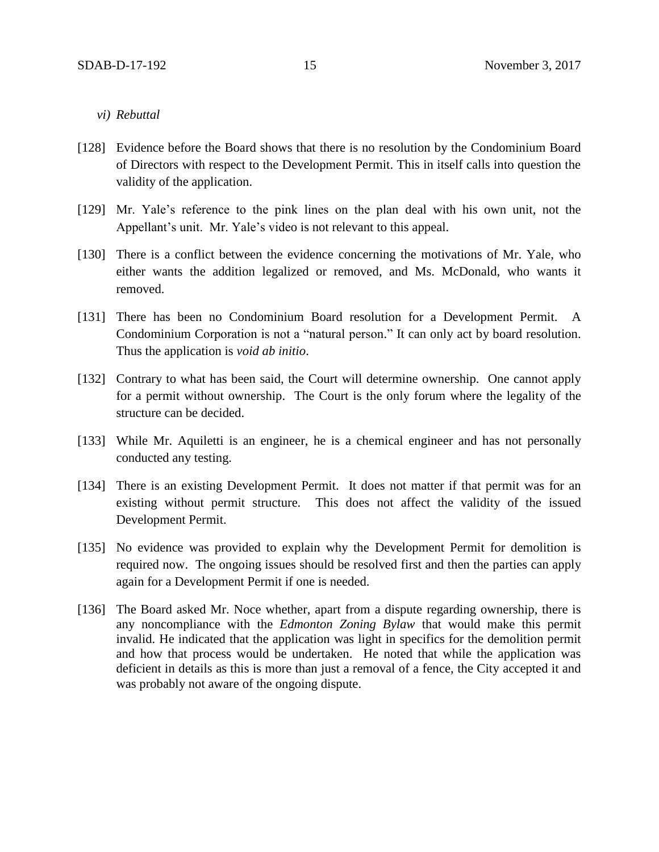- *vi) Rebuttal*
- [128] Evidence before the Board shows that there is no resolution by the Condominium Board of Directors with respect to the Development Permit. This in itself calls into question the validity of the application.
- [129] Mr. Yale's reference to the pink lines on the plan deal with his own unit, not the Appellant's unit. Mr. Yale's video is not relevant to this appeal.
- [130] There is a conflict between the evidence concerning the motivations of Mr. Yale, who either wants the addition legalized or removed, and Ms. McDonald, who wants it removed.
- [131] There has been no Condominium Board resolution for a Development Permit. A Condominium Corporation is not a "natural person." It can only act by board resolution. Thus the application is *void ab initio*.
- [132] Contrary to what has been said, the Court will determine ownership. One cannot apply for a permit without ownership. The Court is the only forum where the legality of the structure can be decided.
- [133] While Mr. Aquiletti is an engineer, he is a chemical engineer and has not personally conducted any testing.
- [134] There is an existing Development Permit. It does not matter if that permit was for an existing without permit structure. This does not affect the validity of the issued Development Permit.
- [135] No evidence was provided to explain why the Development Permit for demolition is required now. The ongoing issues should be resolved first and then the parties can apply again for a Development Permit if one is needed.
- [136] The Board asked Mr. Noce whether, apart from a dispute regarding ownership, there is any noncompliance with the *Edmonton Zoning Bylaw* that would make this permit invalid. He indicated that the application was light in specifics for the demolition permit and how that process would be undertaken. He noted that while the application was deficient in details as this is more than just a removal of a fence, the City accepted it and was probably not aware of the ongoing dispute.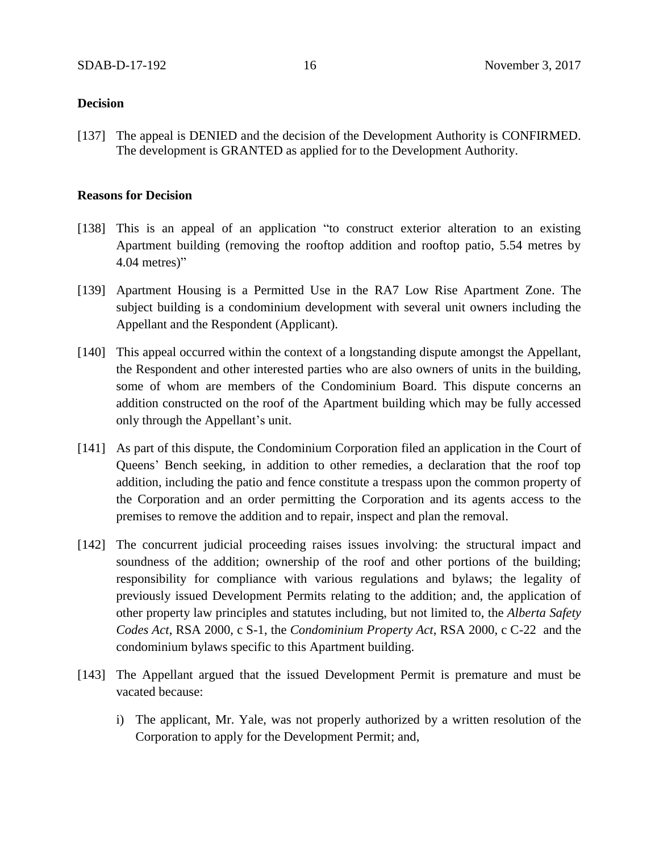# **Decision**

[137] The appeal is DENIED and the decision of the Development Authority is CONFIRMED. The development is GRANTED as applied for to the Development Authority.

# **Reasons for Decision**

- [138] This is an appeal of an application "to construct exterior alteration to an existing Apartment building (removing the rooftop addition and rooftop patio, 5.54 metres by 4.04 metres)"
- [139] Apartment Housing is a Permitted Use in the RA7 Low Rise Apartment Zone. The subject building is a condominium development with several unit owners including the Appellant and the Respondent (Applicant).
- [140] This appeal occurred within the context of a longstanding dispute amongst the Appellant, the Respondent and other interested parties who are also owners of units in the building, some of whom are members of the Condominium Board. This dispute concerns an addition constructed on the roof of the Apartment building which may be fully accessed only through the Appellant's unit.
- [141] As part of this dispute, the Condominium Corporation filed an application in the Court of Queens' Bench seeking, in addition to other remedies, a declaration that the roof top addition, including the patio and fence constitute a trespass upon the common property of the Corporation and an order permitting the Corporation and its agents access to the premises to remove the addition and to repair, inspect and plan the removal.
- [142] The concurrent judicial proceeding raises issues involving: the structural impact and soundness of the addition; ownership of the roof and other portions of the building; responsibility for compliance with various regulations and bylaws; the legality of previously issued Development Permits relating to the addition; and, the application of other property law principles and statutes including, but not limited to, the *Alberta Safety Codes Act*, RSA 2000, c S-1, the *Condominium Property Act*, RSA 2000, c C-22 and the condominium bylaws specific to this Apartment building.
- [143] The Appellant argued that the issued Development Permit is premature and must be vacated because:
	- i) The applicant, Mr. Yale, was not properly authorized by a written resolution of the Corporation to apply for the Development Permit; and,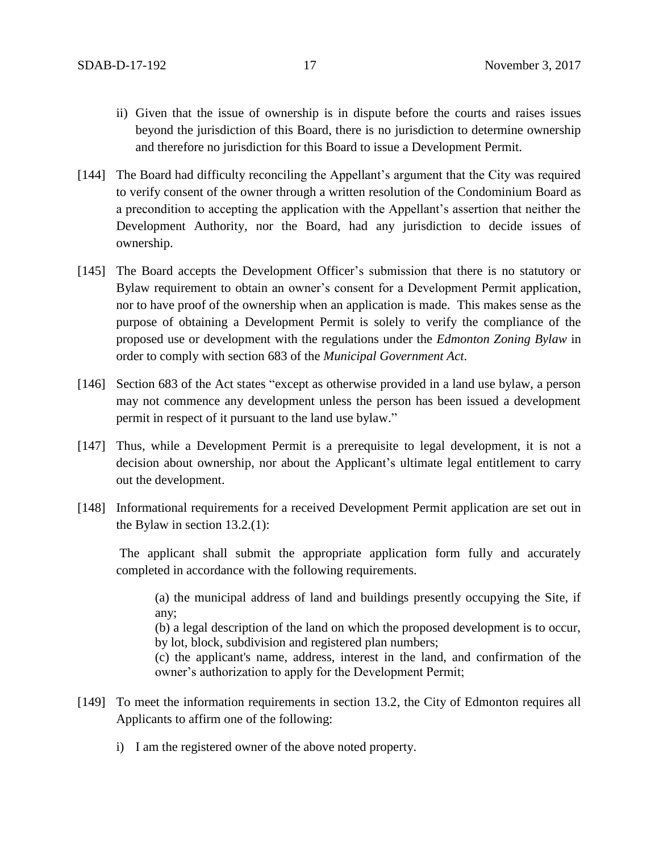- ii) Given that the issue of ownership is in dispute before the courts and raises issues beyond the jurisdiction of this Board, there is no jurisdiction to determine ownership and therefore no jurisdiction for this Board to issue a Development Permit.
- [144] The Board had difficulty reconciling the Appellant's argument that the City was required to verify consent of the owner through a written resolution of the Condominium Board as a precondition to accepting the application with the Appellant's assertion that neither the Development Authority, nor the Board, had any jurisdiction to decide issues of ownership.
- [145] The Board accepts the Development Officer's submission that there is no statutory or Bylaw requirement to obtain an owner's consent for a Development Permit application, nor to have proof of the ownership when an application is made. This makes sense as the purpose of obtaining a Development Permit is solely to verify the compliance of the proposed use or development with the regulations under the *Edmonton Zoning Bylaw* in order to comply with section 683 of the *Municipal Government Act*.
- [146] Section 683 of the Act states "except as otherwise provided in a land use bylaw, a person may not commence any development unless the person has been issued a development permit in respect of it pursuant to the land use bylaw."
- [147] Thus, while a Development Permit is a prerequisite to legal development, it is not a decision about ownership, nor about the Applicant's ultimate legal entitlement to carry out the development.
- [148] Informational requirements for a received Development Permit application are set out in the Bylaw in section 13.2.(1):

The applicant shall submit the appropriate application form fully and accurately completed in accordance with the following requirements.

(a) the municipal address of land and buildings presently occupying the Site, if any;

(b) a legal description of the land on which the proposed development is to occur, by lot, block, subdivision and registered plan numbers;

(c) the applicant's name, address, interest in the land, and confirmation of the owner's authorization to apply for the Development Permit;

- [149] To meet the information requirements in section 13.2, the City of Edmonton requires all Applicants to affirm one of the following:
	- i) I am the registered owner of the above noted property.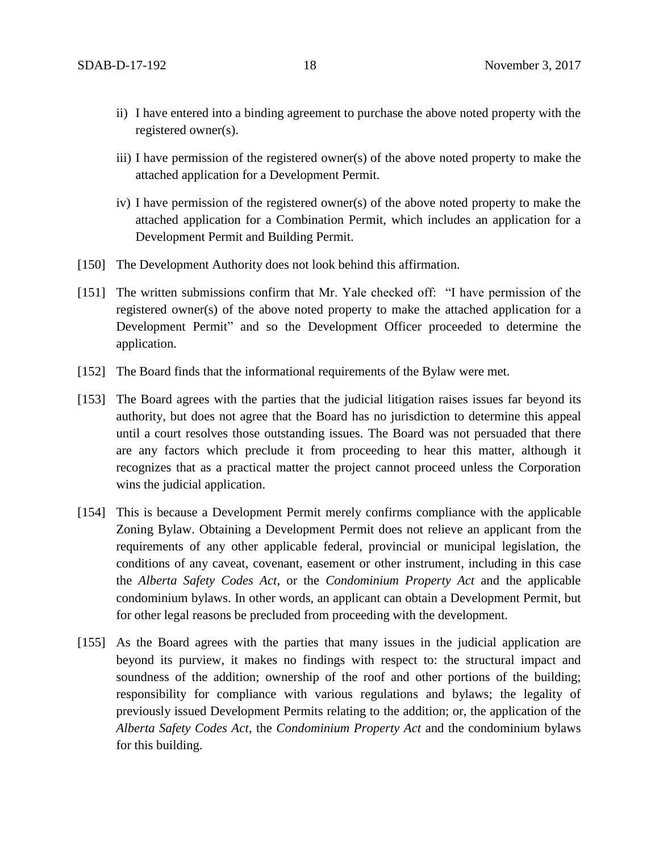- ii) I have entered into a binding agreement to purchase the above noted property with the registered owner(s).
- iii) I have permission of the registered owner(s) of the above noted property to make the attached application for a Development Permit.
- iv) I have permission of the registered owner(s) of the above noted property to make the attached application for a Combination Permit, which includes an application for a Development Permit and Building Permit.
- [150] The Development Authority does not look behind this affirmation.
- [151] The written submissions confirm that Mr. Yale checked off: "I have permission of the registered owner(s) of the above noted property to make the attached application for a Development Permit" and so the Development Officer proceeded to determine the application.
- [152] The Board finds that the informational requirements of the Bylaw were met.
- [153] The Board agrees with the parties that the judicial litigation raises issues far beyond its authority, but does not agree that the Board has no jurisdiction to determine this appeal until a court resolves those outstanding issues. The Board was not persuaded that there are any factors which preclude it from proceeding to hear this matter, although it recognizes that as a practical matter the project cannot proceed unless the Corporation wins the judicial application.
- [154] This is because a Development Permit merely confirms compliance with the applicable Zoning Bylaw. Obtaining a Development Permit does not relieve an applicant from the requirements of any other applicable federal, provincial or municipal legislation, the conditions of any caveat, covenant, easement or other instrument, including in this case the *Alberta Safety Codes Act,* or the *Condominium Property Act* and the applicable condominium bylaws. In other words, an applicant can obtain a Development Permit, but for other legal reasons be precluded from proceeding with the development.
- [155] As the Board agrees with the parties that many issues in the judicial application are beyond its purview, it makes no findings with respect to: the structural impact and soundness of the addition; ownership of the roof and other portions of the building; responsibility for compliance with various regulations and bylaws; the legality of previously issued Development Permits relating to the addition; or, the application of the *Alberta Safety Codes Act*, the *Condominium Property Act* and the condominium bylaws for this building.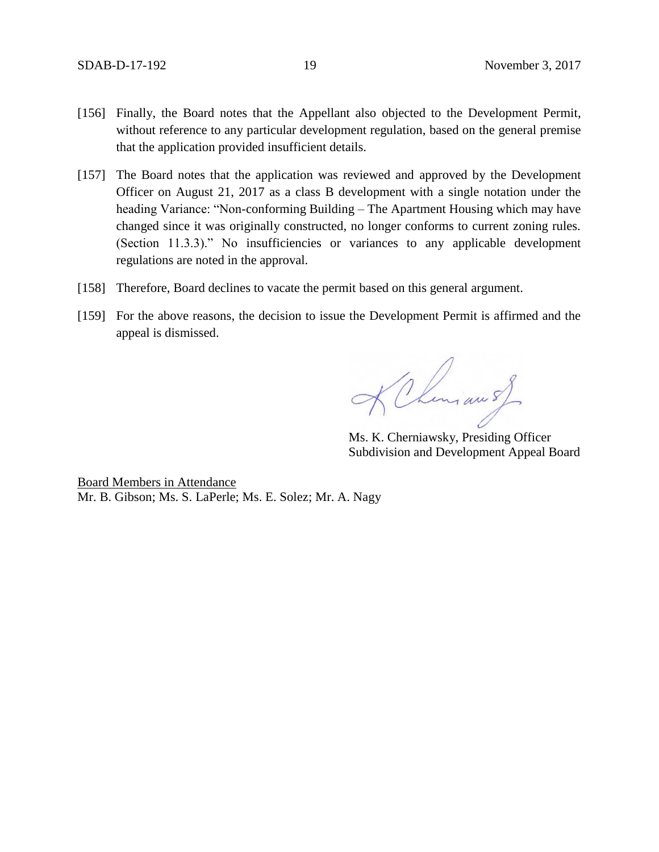- [156] Finally, the Board notes that the Appellant also objected to the Development Permit, without reference to any particular development regulation, based on the general premise that the application provided insufficient details.
- [157] The Board notes that the application was reviewed and approved by the Development Officer on August 21, 2017 as a class B development with a single notation under the heading Variance: "Non-conforming Building – The Apartment Housing which may have changed since it was originally constructed, no longer conforms to current zoning rules. (Section 11.3.3)." No insufficiencies or variances to any applicable development regulations are noted in the approval.
- [158] Therefore, Board declines to vacate the permit based on this general argument.
- [159] For the above reasons, the decision to issue the Development Permit is affirmed and the appeal is dismissed.

KChiman of

Ms. K. Cherniawsky, Presiding Officer Subdivision and Development Appeal Board

Board Members in Attendance Mr. B. Gibson; Ms. S. LaPerle; Ms. E. Solez; Mr. A. Nagy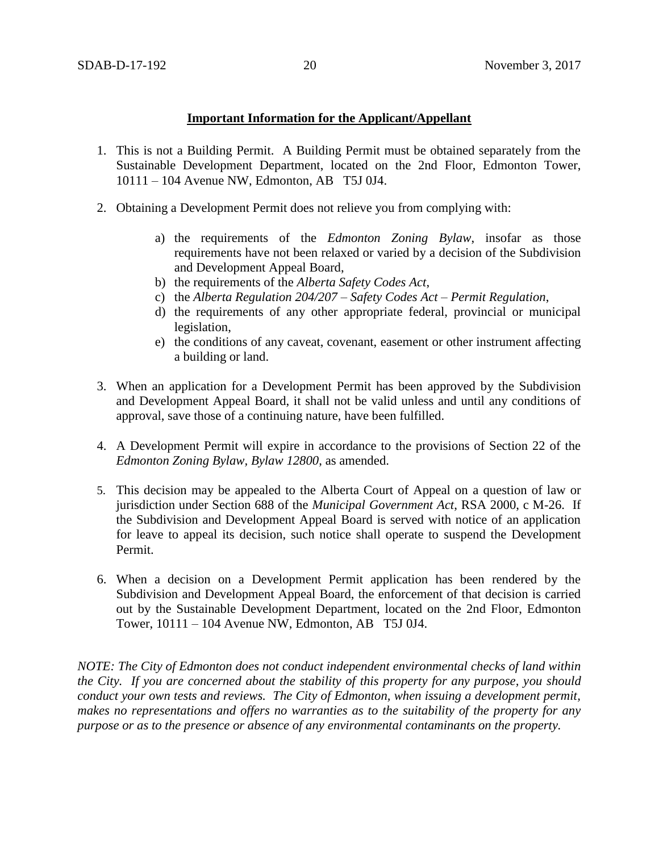# **Important Information for the Applicant/Appellant**

- 1. This is not a Building Permit. A Building Permit must be obtained separately from the Sustainable Development Department, located on the 2nd Floor, Edmonton Tower, 10111 – 104 Avenue NW, Edmonton, AB T5J 0J4.
- 2. Obtaining a Development Permit does not relieve you from complying with:
	- a) the requirements of the *Edmonton Zoning Bylaw*, insofar as those requirements have not been relaxed or varied by a decision of the Subdivision and Development Appeal Board,
	- b) the requirements of the *Alberta Safety Codes Act*,
	- c) the *Alberta Regulation 204/207 – Safety Codes Act – Permit Regulation*,
	- d) the requirements of any other appropriate federal, provincial or municipal legislation,
	- e) the conditions of any caveat, covenant, easement or other instrument affecting a building or land.
- 3. When an application for a Development Permit has been approved by the Subdivision and Development Appeal Board, it shall not be valid unless and until any conditions of approval, save those of a continuing nature, have been fulfilled.
- 4. A Development Permit will expire in accordance to the provisions of Section 22 of the *Edmonton Zoning Bylaw, Bylaw 12800*, as amended.
- 5. This decision may be appealed to the Alberta Court of Appeal on a question of law or jurisdiction under Section 688 of the *Municipal Government Act*, RSA 2000, c M-26. If the Subdivision and Development Appeal Board is served with notice of an application for leave to appeal its decision, such notice shall operate to suspend the Development Permit.
- 6. When a decision on a Development Permit application has been rendered by the Subdivision and Development Appeal Board, the enforcement of that decision is carried out by the Sustainable Development Department, located on the 2nd Floor, Edmonton Tower, 10111 – 104 Avenue NW, Edmonton, AB T5J 0J4.

*NOTE: The City of Edmonton does not conduct independent environmental checks of land within the City. If you are concerned about the stability of this property for any purpose, you should conduct your own tests and reviews. The City of Edmonton, when issuing a development permit, makes no representations and offers no warranties as to the suitability of the property for any purpose or as to the presence or absence of any environmental contaminants on the property.*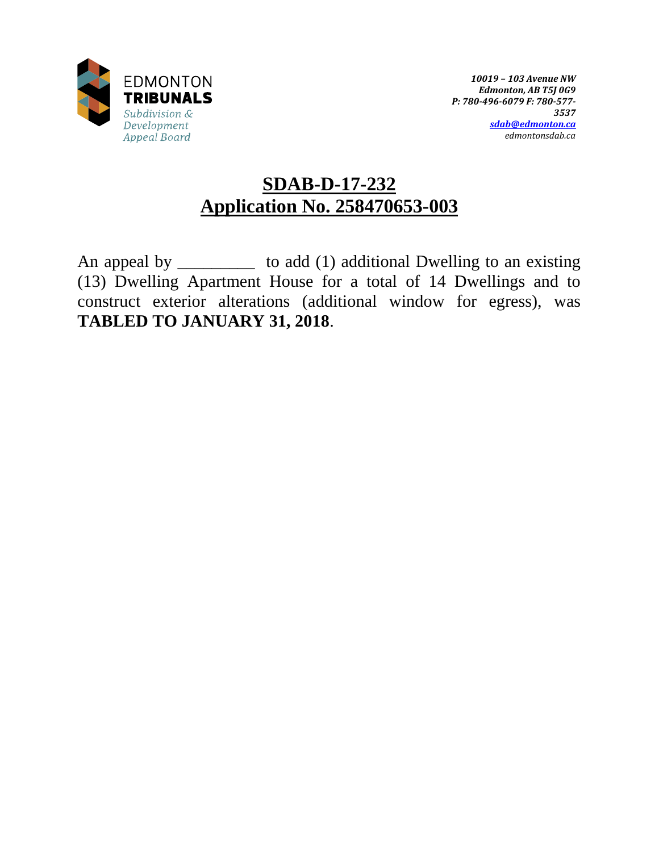

# **SDAB-D-17-232 Application No. 258470653-003**

An appeal by \_\_\_\_\_\_\_\_\_\_\_ to add (1) additional Dwelling to an existing (13) Dwelling Apartment House for a total of 14 Dwellings and to construct exterior alterations (additional window for egress), was **TABLED TO JANUARY 31, 2018**.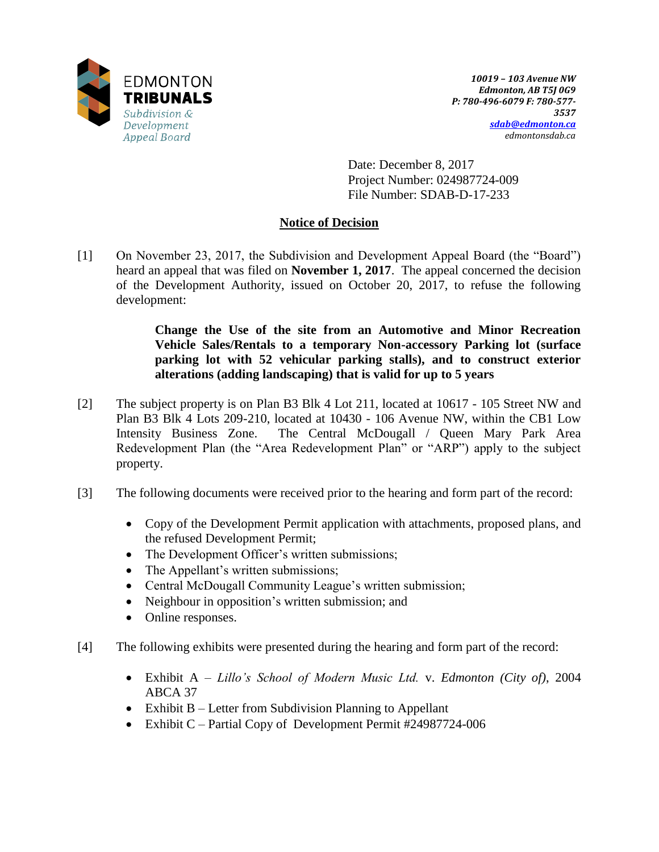

Date: December 8, 2017 Project Number: 024987724-009 File Number: SDAB-D-17-233

# **Notice of Decision**

[1] On November 23, 2017, the Subdivision and Development Appeal Board (the "Board") heard an appeal that was filed on **November 1, 2017**. The appeal concerned the decision of the Development Authority, issued on October 20, 2017, to refuse the following development:

> **Change the Use of the site from an Automotive and Minor Recreation Vehicle Sales/Rentals to a temporary Non-accessory Parking lot (surface parking lot with 52 vehicular parking stalls), and to construct exterior alterations (adding landscaping) that is valid for up to 5 years**

- [2] The subject property is on Plan B3 Blk 4 Lot 211, located at 10617 105 Street NW and Plan B3 Blk 4 Lots 209-210, located at 10430 - 106 Avenue NW, within the CB1 Low Intensity Business Zone. The Central McDougall / Queen Mary Park Area Redevelopment Plan (the "Area Redevelopment Plan" or "ARP") apply to the subject property.
- [3] The following documents were received prior to the hearing and form part of the record:
	- Copy of the Development Permit application with attachments, proposed plans, and the refused Development Permit;
	- The Development Officer's written submissions;
	- The Appellant's written submissions;
	- Central McDougall Community League's written submission;
	- Neighbour in opposition's written submission; and
	- Online responses.
- [4] The following exhibits were presented during the hearing and form part of the record:
	- Exhibit A *Lillo's School of Modern Music Ltd.* v. *Edmonton (City of)*, 2004 ABCA 37
	- Exhibit B Letter from Subdivision Planning to Appellant
	- Exhibit C Partial Copy of Development Permit #24987724-006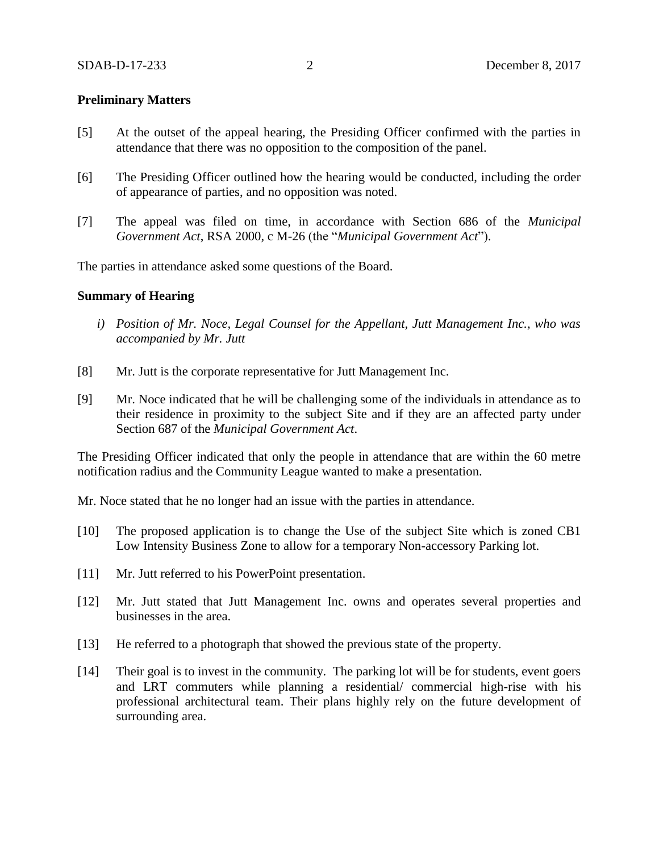# **Preliminary Matters**

- [5] At the outset of the appeal hearing, the Presiding Officer confirmed with the parties in attendance that there was no opposition to the composition of the panel.
- [6] The Presiding Officer outlined how the hearing would be conducted, including the order of appearance of parties, and no opposition was noted.
- [7] The appeal was filed on time, in accordance with Section 686 of the *Municipal Government Act*, RSA 2000, c M-26 (the "*Municipal Government Act*").

The parties in attendance asked some questions of the Board.

### **Summary of Hearing**

- *i) Position of Mr. Noce, Legal Counsel for the Appellant, Jutt Management Inc., who was accompanied by Mr. Jutt*
- [8] Mr. Jutt is the corporate representative for Jutt Management Inc.
- [9] Mr. Noce indicated that he will be challenging some of the individuals in attendance as to their residence in proximity to the subject Site and if they are an affected party under Section 687 of the *Municipal Government Act*.

The Presiding Officer indicated that only the people in attendance that are within the 60 metre notification radius and the Community League wanted to make a presentation.

Mr. Noce stated that he no longer had an issue with the parties in attendance.

- [10] The proposed application is to change the Use of the subject Site which is zoned CB1 Low Intensity Business Zone to allow for a temporary Non-accessory Parking lot.
- [11] Mr. Jutt referred to his PowerPoint presentation.
- [12] Mr. Jutt stated that Jutt Management Inc. owns and operates several properties and businesses in the area.
- [13] He referred to a photograph that showed the previous state of the property.
- [14] Their goal is to invest in the community. The parking lot will be for students, event goers and LRT commuters while planning a residential/ commercial high-rise with his professional architectural team. Their plans highly rely on the future development of surrounding area.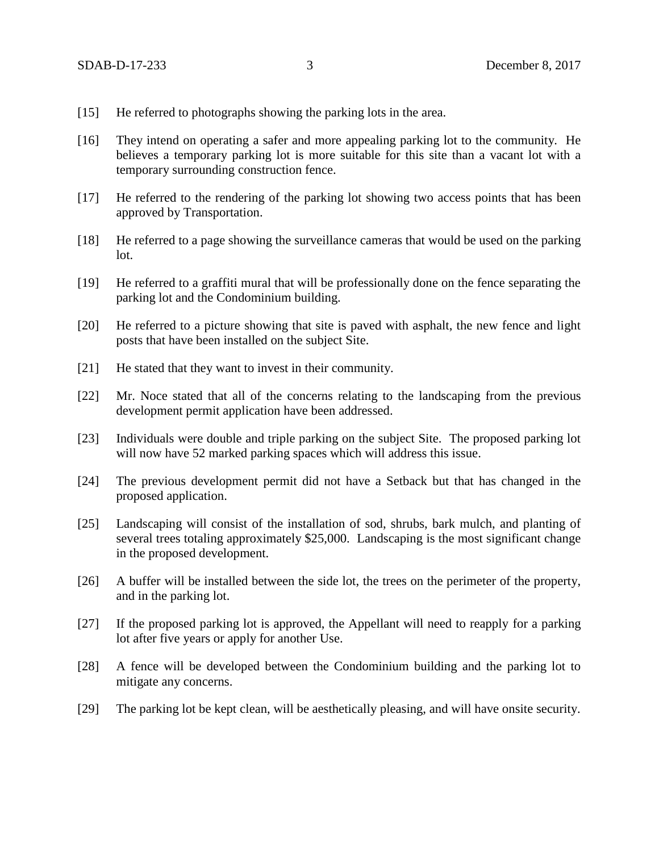- [15] He referred to photographs showing the parking lots in the area.
- [16] They intend on operating a safer and more appealing parking lot to the community. He believes a temporary parking lot is more suitable for this site than a vacant lot with a temporary surrounding construction fence.
- [17] He referred to the rendering of the parking lot showing two access points that has been approved by Transportation.
- [18] He referred to a page showing the surveillance cameras that would be used on the parking lot.
- [19] He referred to a graffiti mural that will be professionally done on the fence separating the parking lot and the Condominium building.
- [20] He referred to a picture showing that site is paved with asphalt, the new fence and light posts that have been installed on the subject Site.
- [21] He stated that they want to invest in their community.
- [22] Mr. Noce stated that all of the concerns relating to the landscaping from the previous development permit application have been addressed.
- [23] Individuals were double and triple parking on the subject Site. The proposed parking lot will now have 52 marked parking spaces which will address this issue.
- [24] The previous development permit did not have a Setback but that has changed in the proposed application.
- [25] Landscaping will consist of the installation of sod, shrubs, bark mulch, and planting of several trees totaling approximately \$25,000. Landscaping is the most significant change in the proposed development.
- [26] A buffer will be installed between the side lot, the trees on the perimeter of the property, and in the parking lot.
- [27] If the proposed parking lot is approved, the Appellant will need to reapply for a parking lot after five years or apply for another Use.
- [28] A fence will be developed between the Condominium building and the parking lot to mitigate any concerns.
- [29] The parking lot be kept clean, will be aesthetically pleasing, and will have onsite security.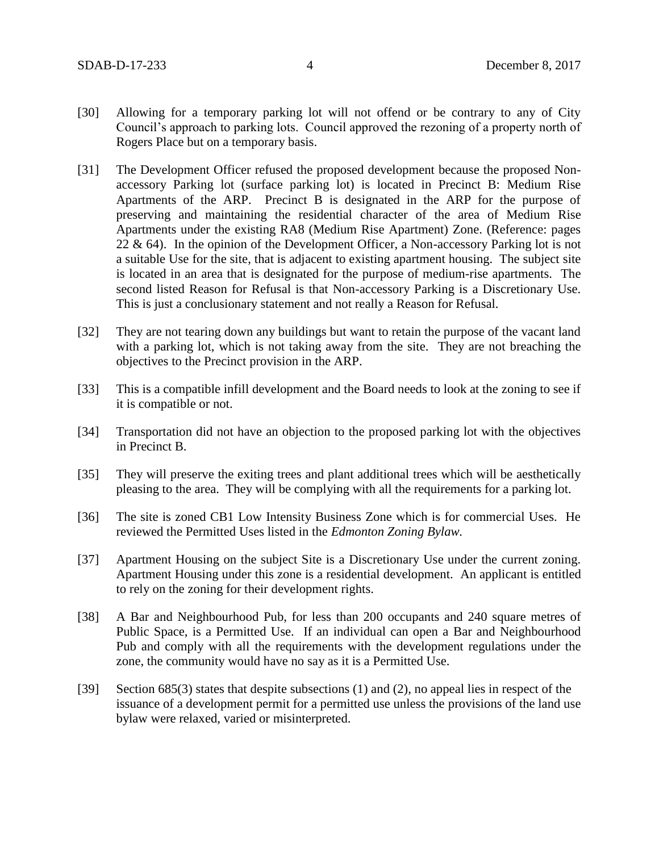- [30] Allowing for a temporary parking lot will not offend or be contrary to any of City Council's approach to parking lots. Council approved the rezoning of a property north of Rogers Place but on a temporary basis.
- [31] The Development Officer refused the proposed development because the proposed Nonaccessory Parking lot (surface parking lot) is located in Precinct B: Medium Rise Apartments of the ARP. Precinct B is designated in the ARP for the purpose of preserving and maintaining the residential character of the area of Medium Rise Apartments under the existing RA8 (Medium Rise Apartment) Zone. (Reference: pages 22  $\&$  64). In the opinion of the Development Officer, a Non-accessory Parking lot is not a suitable Use for the site, that is adjacent to existing apartment housing. The subject site is located in an area that is designated for the purpose of medium-rise apartments. The second listed Reason for Refusal is that Non-accessory Parking is a Discretionary Use. This is just a conclusionary statement and not really a Reason for Refusal.
- [32] They are not tearing down any buildings but want to retain the purpose of the vacant land with a parking lot, which is not taking away from the site. They are not breaching the objectives to the Precinct provision in the ARP.
- [33] This is a compatible infill development and the Board needs to look at the zoning to see if it is compatible or not.
- [34] Transportation did not have an objection to the proposed parking lot with the objectives in Precinct B.
- [35] They will preserve the exiting trees and plant additional trees which will be aesthetically pleasing to the area. They will be complying with all the requirements for a parking lot.
- [36] The site is zoned CB1 Low Intensity Business Zone which is for commercial Uses. He reviewed the Permitted Uses listed in the *Edmonton Zoning Bylaw.*
- [37] Apartment Housing on the subject Site is a Discretionary Use under the current zoning. Apartment Housing under this zone is a residential development. An applicant is entitled to rely on the zoning for their development rights.
- [38] A Bar and Neighbourhood Pub, for less than 200 occupants and 240 square metres of Public Space, is a Permitted Use. If an individual can open a Bar and Neighbourhood Pub and comply with all the requirements with the development regulations under the zone, the community would have no say as it is a Permitted Use.
- [39] Section 685(3) states that despite subsections (1) and (2), no appeal lies in respect of the issuance of a development permit for a permitted use unless the provisions of the land use bylaw were relaxed, varied or misinterpreted.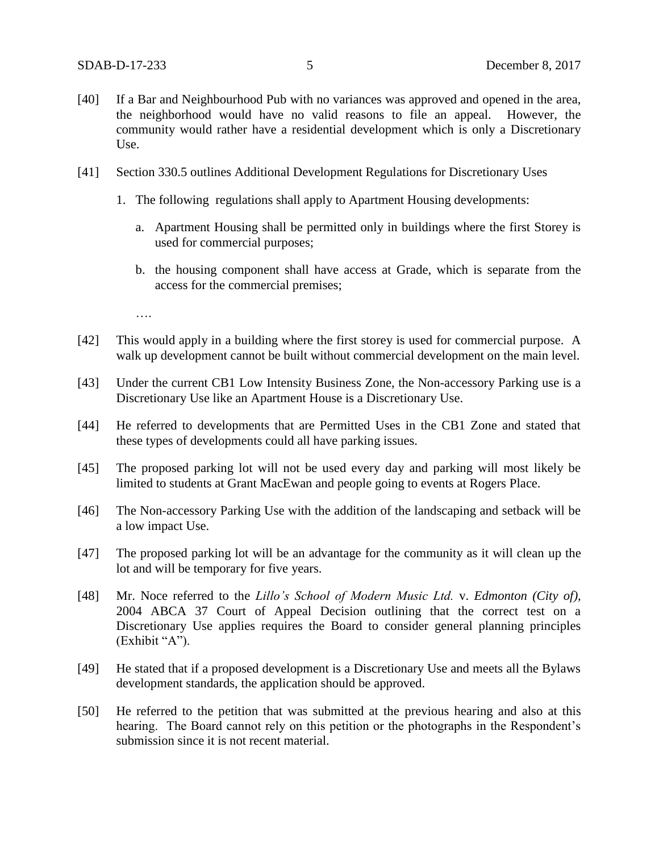- [40] If a Bar and Neighbourhood Pub with no variances was approved and opened in the area, the neighborhood would have no valid reasons to file an appeal. However, the community would rather have a residential development which is only a Discretionary Use.
- [41] Section 330.5 outlines Additional Development Regulations for Discretionary Uses
	- 1. The following regulations shall apply to Apartment Housing developments:
		- a. Apartment Housing shall be permitted only in buildings where the first Storey is used for commercial purposes;
		- b. the housing component shall have access at Grade, which is separate from the access for the commercial premises;

….

- [42] This would apply in a building where the first storey is used for commercial purpose. A walk up development cannot be built without commercial development on the main level.
- [43] Under the current CB1 Low Intensity Business Zone, the Non-accessory Parking use is a Discretionary Use like an Apartment House is a Discretionary Use.
- [44] He referred to developments that are Permitted Uses in the CB1 Zone and stated that these types of developments could all have parking issues.
- [45] The proposed parking lot will not be used every day and parking will most likely be limited to students at Grant MacEwan and people going to events at Rogers Place.
- [46] The Non-accessory Parking Use with the addition of the landscaping and setback will be a low impact Use.
- [47] The proposed parking lot will be an advantage for the community as it will clean up the lot and will be temporary for five years.
- [48] Mr. Noce referred to the *Lillo's School of Modern Music Ltd.* v. *Edmonton (City of),*  2004 ABCA 37 Court of Appeal Decision outlining that the correct test on a Discretionary Use applies requires the Board to consider general planning principles (Exhibit "A").
- [49] He stated that if a proposed development is a Discretionary Use and meets all the Bylaws development standards, the application should be approved.
- [50] He referred to the petition that was submitted at the previous hearing and also at this hearing. The Board cannot rely on this petition or the photographs in the Respondent's submission since it is not recent material.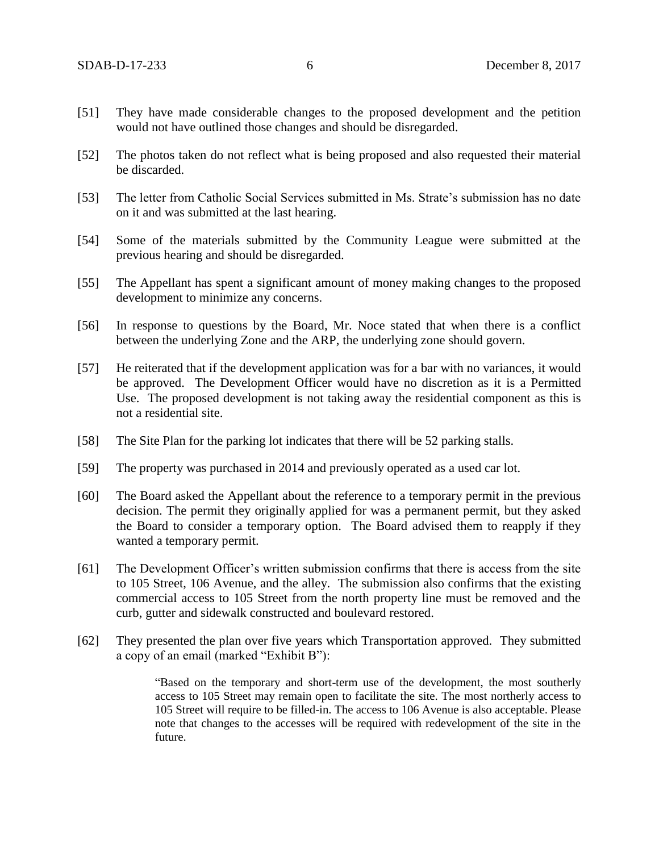- [51] They have made considerable changes to the proposed development and the petition would not have outlined those changes and should be disregarded.
- [52] The photos taken do not reflect what is being proposed and also requested their material be discarded.
- [53] The letter from Catholic Social Services submitted in Ms. Strate's submission has no date on it and was submitted at the last hearing.
- [54] Some of the materials submitted by the Community League were submitted at the previous hearing and should be disregarded.
- [55] The Appellant has spent a significant amount of money making changes to the proposed development to minimize any concerns.
- [56] In response to questions by the Board, Mr. Noce stated that when there is a conflict between the underlying Zone and the ARP, the underlying zone should govern.
- [57] He reiterated that if the development application was for a bar with no variances, it would be approved. The Development Officer would have no discretion as it is a Permitted Use. The proposed development is not taking away the residential component as this is not a residential site.
- [58] The Site Plan for the parking lot indicates that there will be 52 parking stalls.
- [59] The property was purchased in 2014 and previously operated as a used car lot.
- [60] The Board asked the Appellant about the reference to a temporary permit in the previous decision. The permit they originally applied for was a permanent permit, but they asked the Board to consider a temporary option. The Board advised them to reapply if they wanted a temporary permit.
- [61] The Development Officer's written submission confirms that there is access from the site to 105 Street, 106 Avenue, and the alley. The submission also confirms that the existing commercial access to 105 Street from the north property line must be removed and the curb, gutter and sidewalk constructed and boulevard restored.
- [62] They presented the plan over five years which Transportation approved. They submitted a copy of an email (marked "Exhibit B"):

"Based on the temporary and short-term use of the development, the most southerly access to 105 Street may remain open to facilitate the site. The most northerly access to 105 Street will require to be filled-in. The access to 106 Avenue is also acceptable. Please note that changes to the accesses will be required with redevelopment of the site in the future.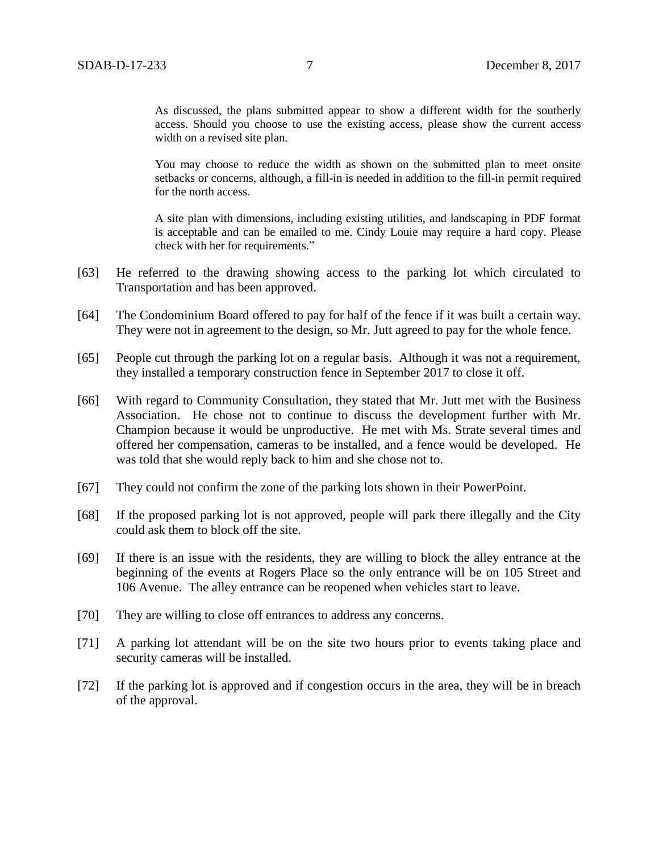As discussed, the plans submitted appear to show a different width for the southerly access. Should you choose to use the existing access, please show the current access width on a revised site plan.

You may choose to reduce the width as shown on the submitted plan to meet onsite setbacks or concerns, although, a fill-in is needed in addition to the fill-in permit required for the north access.

A site plan with dimensions, including existing utilities, and landscaping in PDF format is acceptable and can be emailed to me. Cindy Louie may require a hard copy. Please check with her for requirements."

- [63] He referred to the drawing showing access to the parking lot which circulated to Transportation and has been approved.
- [64] The Condominium Board offered to pay for half of the fence if it was built a certain way. They were not in agreement to the design, so Mr. Jutt agreed to pay for the whole fence.
- [65] People cut through the parking lot on a regular basis. Although it was not a requirement, they installed a temporary construction fence in September 2017 to close it off.
- [66] With regard to Community Consultation, they stated that Mr. Jutt met with the Business Association. He chose not to continue to discuss the development further with Mr. Champion because it would be unproductive. He met with Ms. Strate several times and offered her compensation, cameras to be installed, and a fence would be developed. He was told that she would reply back to him and she chose not to.
- [67] They could not confirm the zone of the parking lots shown in their PowerPoint.
- [68] If the proposed parking lot is not approved, people will park there illegally and the City could ask them to block off the site.
- [69] If there is an issue with the residents, they are willing to block the alley entrance at the beginning of the events at Rogers Place so the only entrance will be on 105 Street and 106 Avenue. The alley entrance can be reopened when vehicles start to leave.
- [70] They are willing to close off entrances to address any concerns.
- [71] A parking lot attendant will be on the site two hours prior to events taking place and security cameras will be installed.
- [72] If the parking lot is approved and if congestion occurs in the area, they will be in breach of the approval.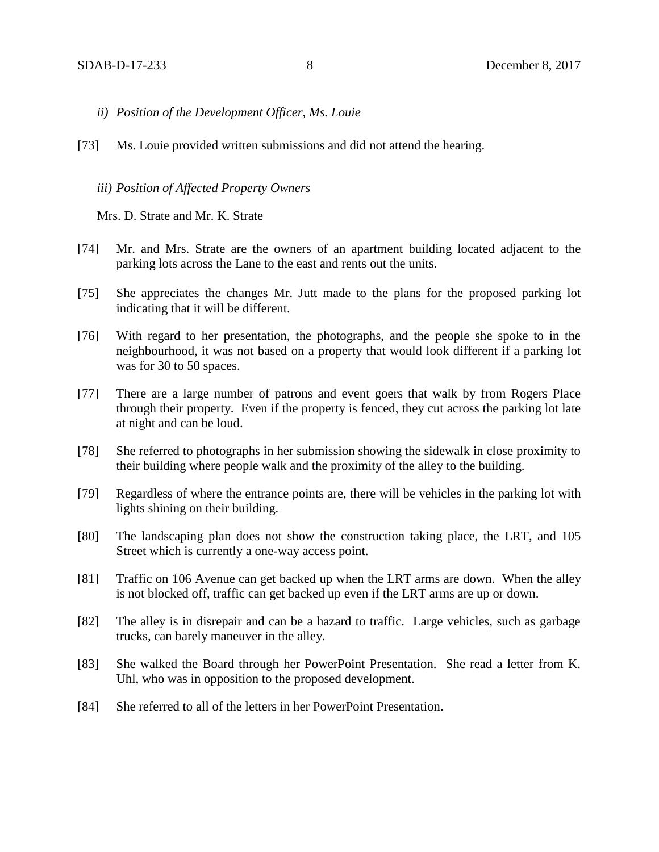- *ii) Position of the Development Officer, Ms. Louie*
- [73] Ms. Louie provided written submissions and did not attend the hearing.

#### *iii) Position of Affected Property Owners*

Mrs. D. Strate and Mr. K. Strate

- [74] Mr. and Mrs. Strate are the owners of an apartment building located adjacent to the parking lots across the Lane to the east and rents out the units.
- [75] She appreciates the changes Mr. Jutt made to the plans for the proposed parking lot indicating that it will be different.
- [76] With regard to her presentation, the photographs, and the people she spoke to in the neighbourhood, it was not based on a property that would look different if a parking lot was for 30 to 50 spaces.
- [77] There are a large number of patrons and event goers that walk by from Rogers Place through their property. Even if the property is fenced, they cut across the parking lot late at night and can be loud.
- [78] She referred to photographs in her submission showing the sidewalk in close proximity to their building where people walk and the proximity of the alley to the building.
- [79] Regardless of where the entrance points are, there will be vehicles in the parking lot with lights shining on their building.
- [80] The landscaping plan does not show the construction taking place, the LRT, and 105 Street which is currently a one-way access point.
- [81] Traffic on 106 Avenue can get backed up when the LRT arms are down. When the alley is not blocked off, traffic can get backed up even if the LRT arms are up or down.
- [82] The alley is in disrepair and can be a hazard to traffic. Large vehicles, such as garbage trucks, can barely maneuver in the alley.
- [83] She walked the Board through her PowerPoint Presentation. She read a letter from K. Uhl, who was in opposition to the proposed development.
- [84] She referred to all of the letters in her PowerPoint Presentation.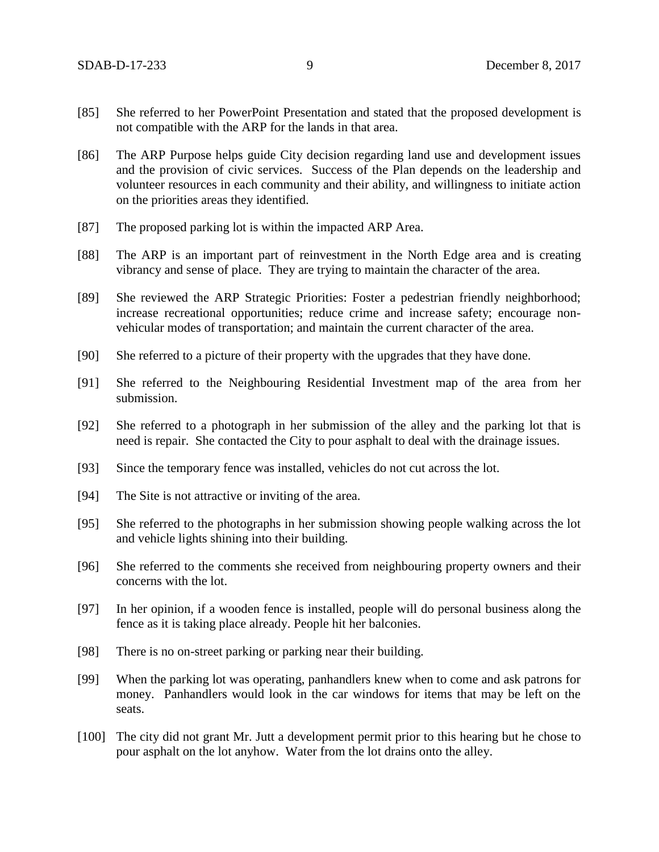- [85] She referred to her PowerPoint Presentation and stated that the proposed development is not compatible with the ARP for the lands in that area.
- [86] The ARP Purpose helps guide City decision regarding land use and development issues and the provision of civic services. Success of the Plan depends on the leadership and volunteer resources in each community and their ability, and willingness to initiate action on the priorities areas they identified.
- [87] The proposed parking lot is within the impacted ARP Area.
- [88] The ARP is an important part of reinvestment in the North Edge area and is creating vibrancy and sense of place. They are trying to maintain the character of the area.
- [89] She reviewed the ARP Strategic Priorities: Foster a pedestrian friendly neighborhood; increase recreational opportunities; reduce crime and increase safety; encourage nonvehicular modes of transportation; and maintain the current character of the area.
- [90] She referred to a picture of their property with the upgrades that they have done.
- [91] She referred to the Neighbouring Residential Investment map of the area from her submission.
- [92] She referred to a photograph in her submission of the alley and the parking lot that is need is repair. She contacted the City to pour asphalt to deal with the drainage issues.
- [93] Since the temporary fence was installed, vehicles do not cut across the lot.
- [94] The Site is not attractive or inviting of the area.
- [95] She referred to the photographs in her submission showing people walking across the lot and vehicle lights shining into their building.
- [96] She referred to the comments she received from neighbouring property owners and their concerns with the lot.
- [97] In her opinion, if a wooden fence is installed, people will do personal business along the fence as it is taking place already. People hit her balconies.
- [98] There is no on-street parking or parking near their building.
- [99] When the parking lot was operating, panhandlers knew when to come and ask patrons for money. Panhandlers would look in the car windows for items that may be left on the seats.
- [100] The city did not grant Mr. Jutt a development permit prior to this hearing but he chose to pour asphalt on the lot anyhow. Water from the lot drains onto the alley.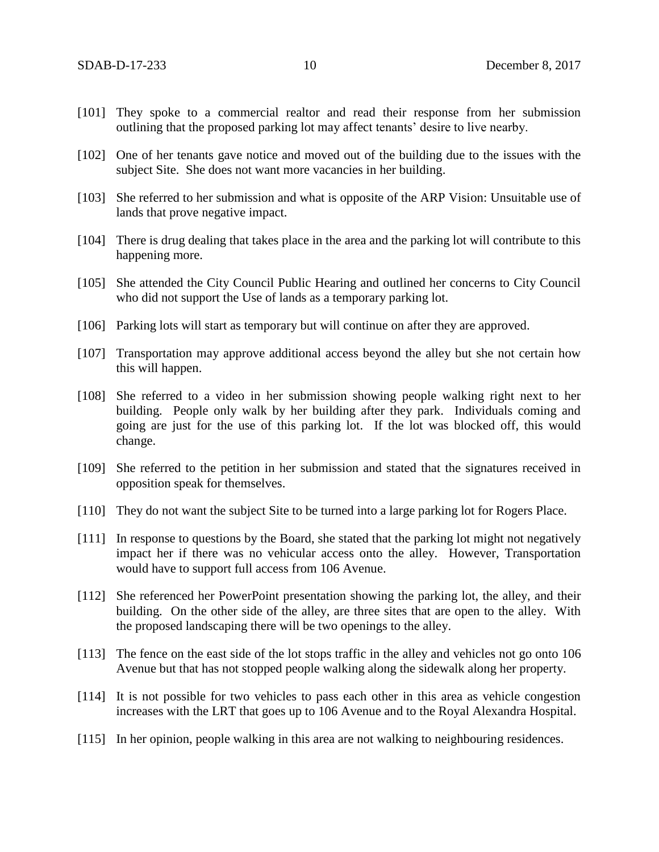- [101] They spoke to a commercial realtor and read their response from her submission outlining that the proposed parking lot may affect tenants' desire to live nearby.
- [102] One of her tenants gave notice and moved out of the building due to the issues with the subject Site. She does not want more vacancies in her building.
- [103] She referred to her submission and what is opposite of the ARP Vision: Unsuitable use of lands that prove negative impact.
- [104] There is drug dealing that takes place in the area and the parking lot will contribute to this happening more.
- [105] She attended the City Council Public Hearing and outlined her concerns to City Council who did not support the Use of lands as a temporary parking lot.
- [106] Parking lots will start as temporary but will continue on after they are approved.
- [107] Transportation may approve additional access beyond the alley but she not certain how this will happen.
- [108] She referred to a video in her submission showing people walking right next to her building. People only walk by her building after they park. Individuals coming and going are just for the use of this parking lot. If the lot was blocked off, this would change.
- [109] She referred to the petition in her submission and stated that the signatures received in opposition speak for themselves.
- [110] They do not want the subject Site to be turned into a large parking lot for Rogers Place.
- [111] In response to questions by the Board, she stated that the parking lot might not negatively impact her if there was no vehicular access onto the alley. However, Transportation would have to support full access from 106 Avenue.
- [112] She referenced her PowerPoint presentation showing the parking lot, the alley, and their building. On the other side of the alley, are three sites that are open to the alley. With the proposed landscaping there will be two openings to the alley.
- [113] The fence on the east side of the lot stops traffic in the alley and vehicles not go onto 106 Avenue but that has not stopped people walking along the sidewalk along her property.
- [114] It is not possible for two vehicles to pass each other in this area as vehicle congestion increases with the LRT that goes up to 106 Avenue and to the Royal Alexandra Hospital.
- [115] In her opinion, people walking in this area are not walking to neighbouring residences.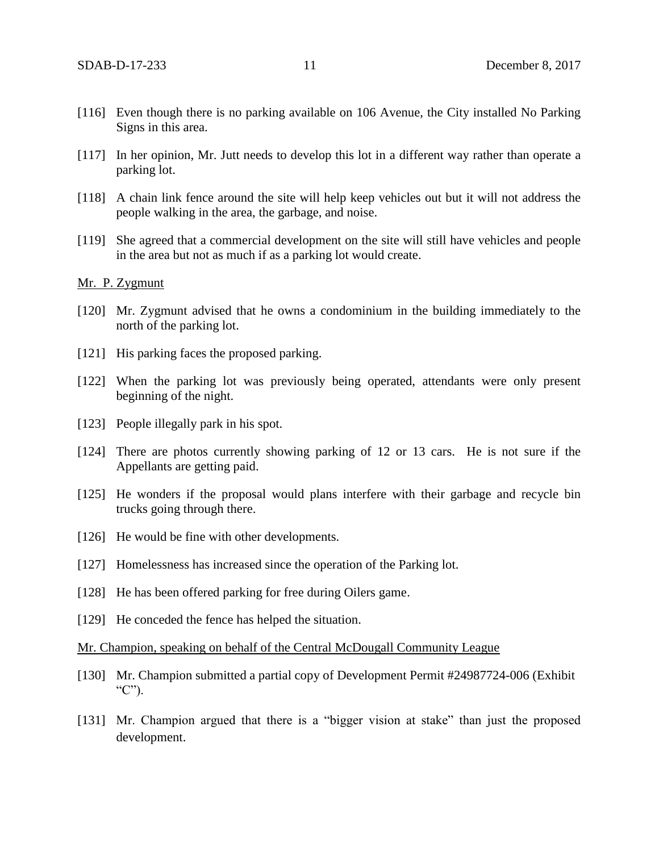- [116] Even though there is no parking available on 106 Avenue, the City installed No Parking Signs in this area.
- [117] In her opinion, Mr. Jutt needs to develop this lot in a different way rather than operate a parking lot.
- [118] A chain link fence around the site will help keep vehicles out but it will not address the people walking in the area, the garbage, and noise.
- [119] She agreed that a commercial development on the site will still have vehicles and people in the area but not as much if as a parking lot would create.

# Mr. P. Zygmunt

- [120] Mr. Zygmunt advised that he owns a condominium in the building immediately to the north of the parking lot.
- [121] His parking faces the proposed parking.
- [122] When the parking lot was previously being operated, attendants were only present beginning of the night.
- [123] People illegally park in his spot.
- [124] There are photos currently showing parking of 12 or 13 cars. He is not sure if the Appellants are getting paid.
- [125] He wonders if the proposal would plans interfere with their garbage and recycle bin trucks going through there.
- [126] He would be fine with other developments.
- [127] Homelessness has increased since the operation of the Parking lot.
- [128] He has been offered parking for free during Oilers game.
- [129] He conceded the fence has helped the situation.

#### Mr. Champion, speaking on behalf of the Central McDougall Community League

- [130] Mr. Champion submitted a partial copy of Development Permit #24987724-006 (Exhibit  $C$ ").
- [131] Mr. Champion argued that there is a "bigger vision at stake" than just the proposed development.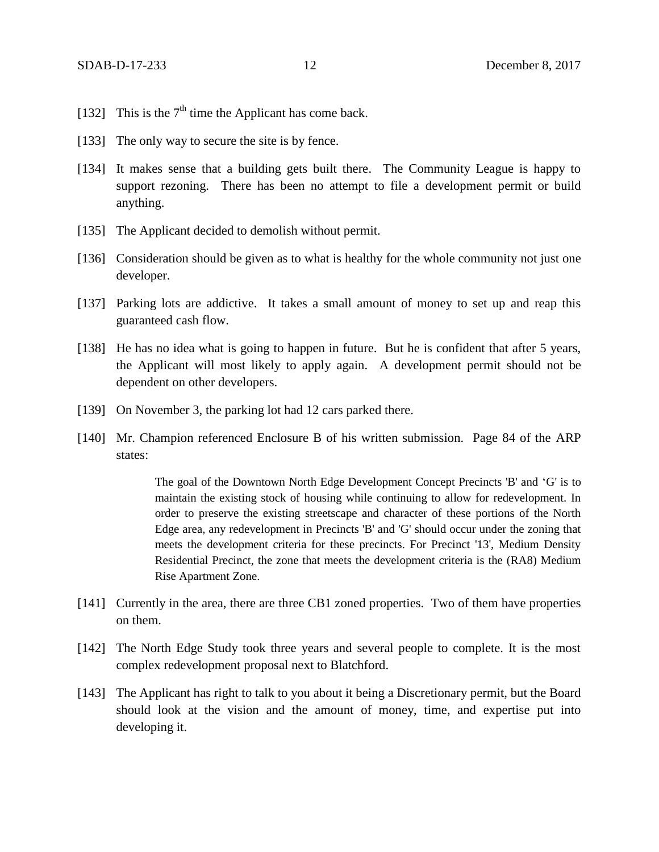- [132] This is the  $7<sup>th</sup>$  time the Applicant has come back.
- [133] The only way to secure the site is by fence.
- [134] It makes sense that a building gets built there. The Community League is happy to support rezoning. There has been no attempt to file a development permit or build anything.
- [135] The Applicant decided to demolish without permit.
- [136] Consideration should be given as to what is healthy for the whole community not just one developer.
- [137] Parking lots are addictive. It takes a small amount of money to set up and reap this guaranteed cash flow.
- [138] He has no idea what is going to happen in future. But he is confident that after 5 years, the Applicant will most likely to apply again. A development permit should not be dependent on other developers.
- [139] On November 3, the parking lot had 12 cars parked there.
- [140] Mr. Champion referenced Enclosure B of his written submission. Page 84 of the ARP states:

The goal of the Downtown North Edge Development Concept Precincts 'B' and 'G' is to maintain the existing stock of housing while continuing to allow for redevelopment. In order to preserve the existing streetscape and character of these portions of the North Edge area, any redevelopment in Precincts 'B' and 'G' should occur under the zoning that meets the development criteria for these precincts. For Precinct '13', Medium Density Residential Precinct, the zone that meets the development criteria is the (RA8) Medium Rise Apartment Zone.

- [141] Currently in the area, there are three CB1 zoned properties. Two of them have properties on them.
- [142] The North Edge Study took three years and several people to complete. It is the most complex redevelopment proposal next to Blatchford.
- [143] The Applicant has right to talk to you about it being a Discretionary permit, but the Board should look at the vision and the amount of money, time, and expertise put into developing it.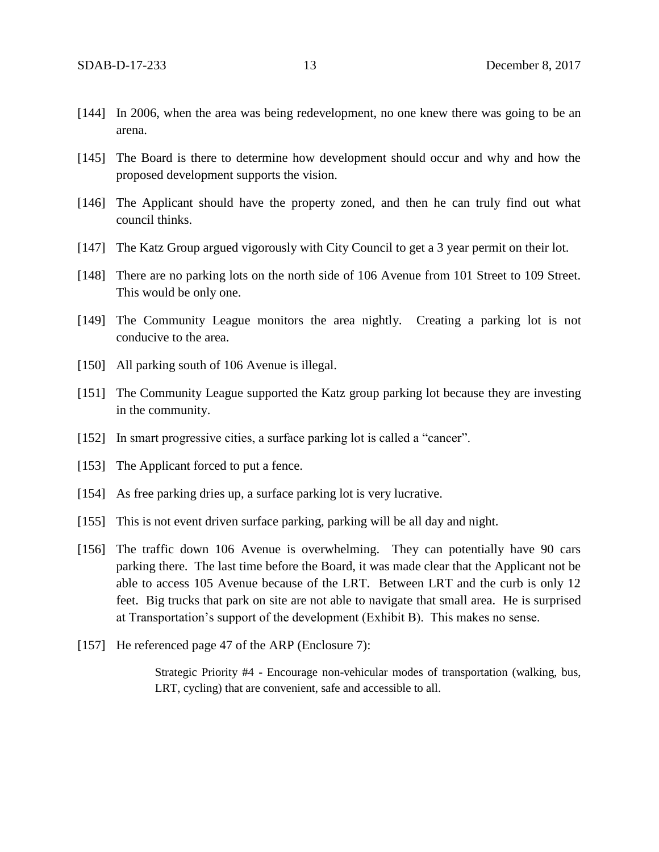- [144] In 2006, when the area was being redevelopment, no one knew there was going to be an arena.
- [145] The Board is there to determine how development should occur and why and how the proposed development supports the vision.
- [146] The Applicant should have the property zoned, and then he can truly find out what council thinks.
- [147] The Katz Group argued vigorously with City Council to get a 3 year permit on their lot.
- [148] There are no parking lots on the north side of 106 Avenue from 101 Street to 109 Street. This would be only one.
- [149] The Community League monitors the area nightly. Creating a parking lot is not conducive to the area.
- [150] All parking south of 106 Avenue is illegal.
- [151] The Community League supported the Katz group parking lot because they are investing in the community.
- [152] In smart progressive cities, a surface parking lot is called a "cancer".
- [153] The Applicant forced to put a fence.
- [154] As free parking dries up, a surface parking lot is very lucrative.
- [155] This is not event driven surface parking, parking will be all day and night.
- [156] The traffic down 106 Avenue is overwhelming. They can potentially have 90 cars parking there. The last time before the Board, it was made clear that the Applicant not be able to access 105 Avenue because of the LRT. Between LRT and the curb is only 12 feet. Big trucks that park on site are not able to navigate that small area. He is surprised at Transportation's support of the development (Exhibit B). This makes no sense.
- [157] He referenced page 47 of the ARP (Enclosure 7):

Strategic Priority #4 - Encourage non-vehicular modes of transportation (walking, bus, LRT, cycling) that are convenient, safe and accessible to all.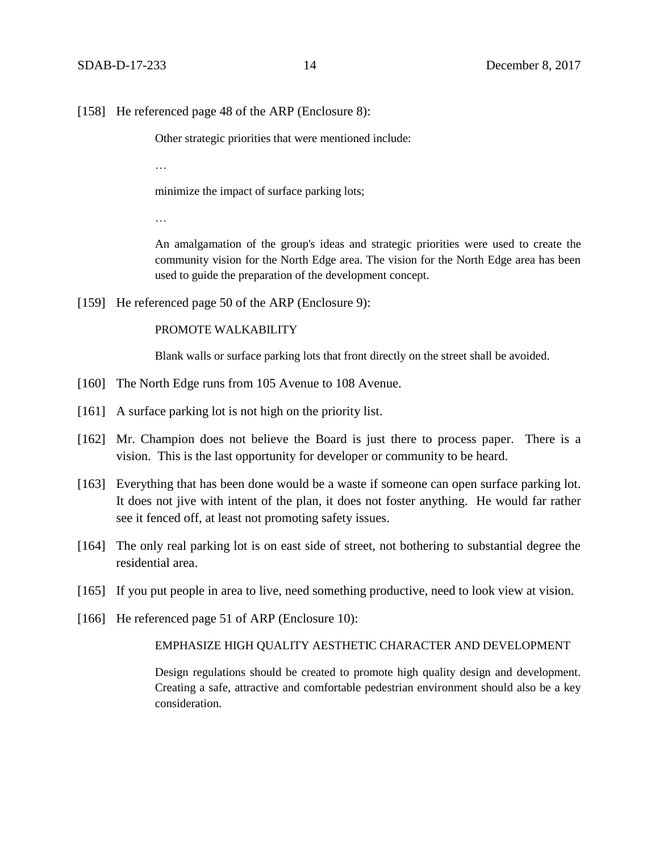[158] He referenced page 48 of the ARP (Enclosure 8):

Other strategic priorities that were mentioned include:

…

minimize the impact of surface parking lots;

…

An amalgamation of the group's ideas and strategic priorities were used to create the community vision for the North Edge area. The vision for the North Edge area has been used to guide the preparation of the development concept.

[159] He referenced page 50 of the ARP (Enclosure 9):

#### PROMOTE WALKABILITY

Blank walls or surface parking lots that front directly on the street shall be avoided.

- [160] The North Edge runs from 105 Avenue to 108 Avenue.
- [161] A surface parking lot is not high on the priority list.
- [162] Mr. Champion does not believe the Board is just there to process paper. There is a vision. This is the last opportunity for developer or community to be heard.
- [163] Everything that has been done would be a waste if someone can open surface parking lot. It does not jive with intent of the plan, it does not foster anything. He would far rather see it fenced off, at least not promoting safety issues.
- [164] The only real parking lot is on east side of street, not bothering to substantial degree the residential area.
- [165] If you put people in area to live, need something productive, need to look view at vision.
- [166] He referenced page 51 of ARP (Enclosure 10):

## EMPHASIZE HIGH QUALITY AESTHETIC CHARACTER AND DEVELOPMENT

Design regulations should be created to promote high quality design and development. Creating a safe, attractive and comfortable pedestrian environment should also be a key consideration.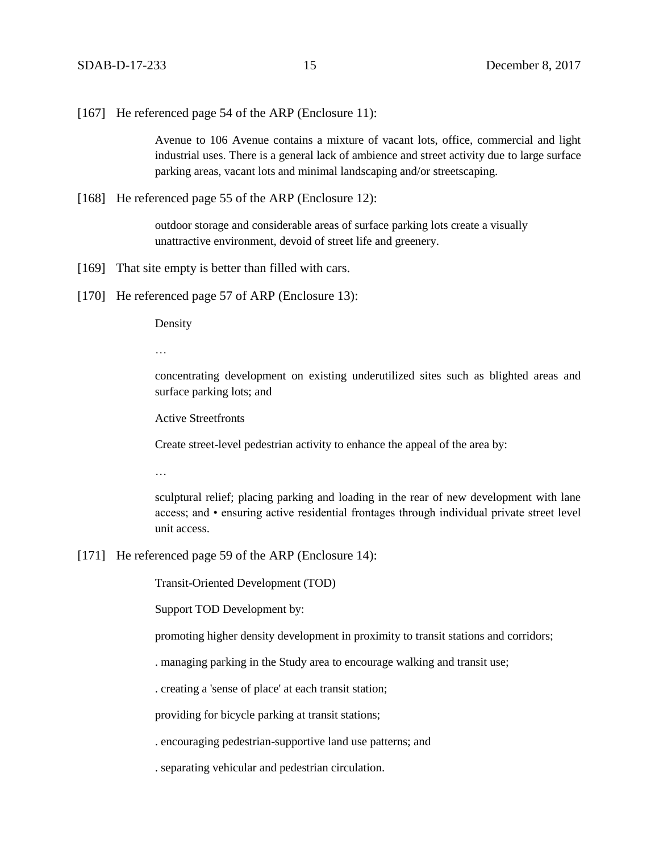[167] He referenced page 54 of the ARP (Enclosure 11):

Avenue to 106 Avenue contains a mixture of vacant lots, office, commercial and light industrial uses. There is a general lack of ambience and street activity due to large surface parking areas, vacant lots and minimal landscaping and/or streetscaping.

[168] He referenced page 55 of the ARP (Enclosure 12):

outdoor storage and considerable areas of surface parking lots create a visually unattractive environment, devoid of street life and greenery.

- [169] That site empty is better than filled with cars.
- [170] He referenced page 57 of ARP (Enclosure 13):

Density

…

concentrating development on existing underutilized sites such as blighted areas and surface parking lots; and

Active Streetfronts

Create street-level pedestrian activity to enhance the appeal of the area by:

…

sculptural relief; placing parking and loading in the rear of new development with lane access; and • ensuring active residential frontages through individual private street level unit access.

[171] He referenced page 59 of the ARP (Enclosure 14):

Transit-Oriented Development (TOD)

Support TOD Development by:

promoting higher density development in proximity to transit stations and corridors;

. managing parking in the Study area to encourage walking and transit use;

. creating a 'sense of place' at each transit station;

providing for bicycle parking at transit stations;

. encouraging pedestrian-supportive land use patterns; and

. separating vehicular and pedestrian circulation.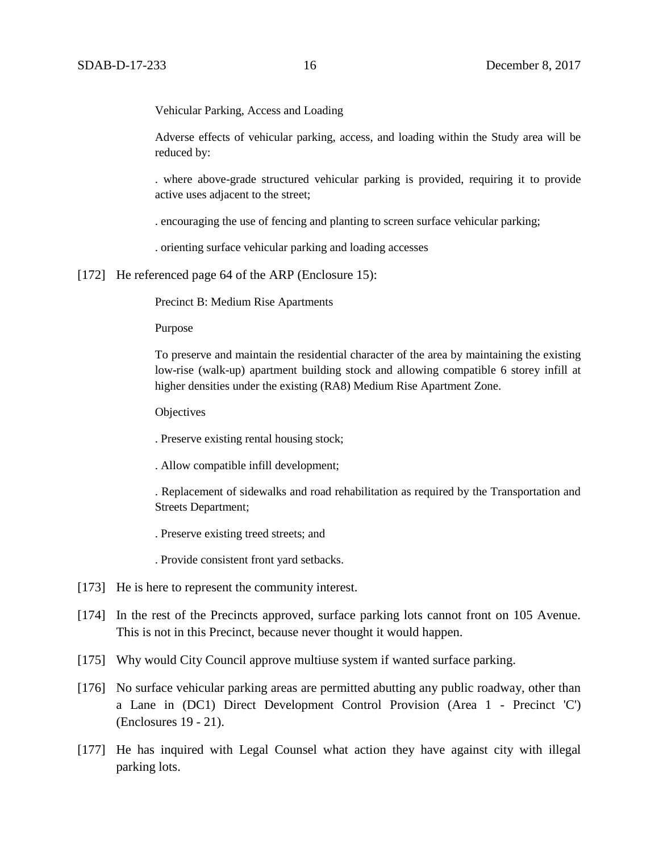Vehicular Parking, Access and Loading

Adverse effects of vehicular parking, access, and loading within the Study area will be reduced by:

. where above-grade structured vehicular parking is provided, requiring it to provide active uses adjacent to the street;

. encouraging the use of fencing and planting to screen surface vehicular parking;

. orienting surface vehicular parking and loading accesses

[172] He referenced page 64 of the ARP (Enclosure 15):

Precinct B: Medium Rise Apartments

Purpose

To preserve and maintain the residential character of the area by maintaining the existing low-rise (walk-up) apartment building stock and allowing compatible 6 storey infill at higher densities under the existing (RA8) Medium Rise Apartment Zone.

**Objectives** 

. Preserve existing rental housing stock;

. Allow compatible infill development;

. Replacement of sidewalks and road rehabilitation as required by the Transportation and Streets Department;

. Preserve existing treed streets; and

. Provide consistent front yard setbacks.

- [173] He is here to represent the community interest.
- [174] In the rest of the Precincts approved, surface parking lots cannot front on 105 Avenue. This is not in this Precinct, because never thought it would happen.
- [175] Why would City Council approve multiuse system if wanted surface parking.
- [176] No surface vehicular parking areas are permitted abutting any public roadway, other than a Lane in (DC1) Direct Development Control Provision (Area 1 - Precinct 'C') (Enclosures 19 - 21).
- [177] He has inquired with Legal Counsel what action they have against city with illegal parking lots.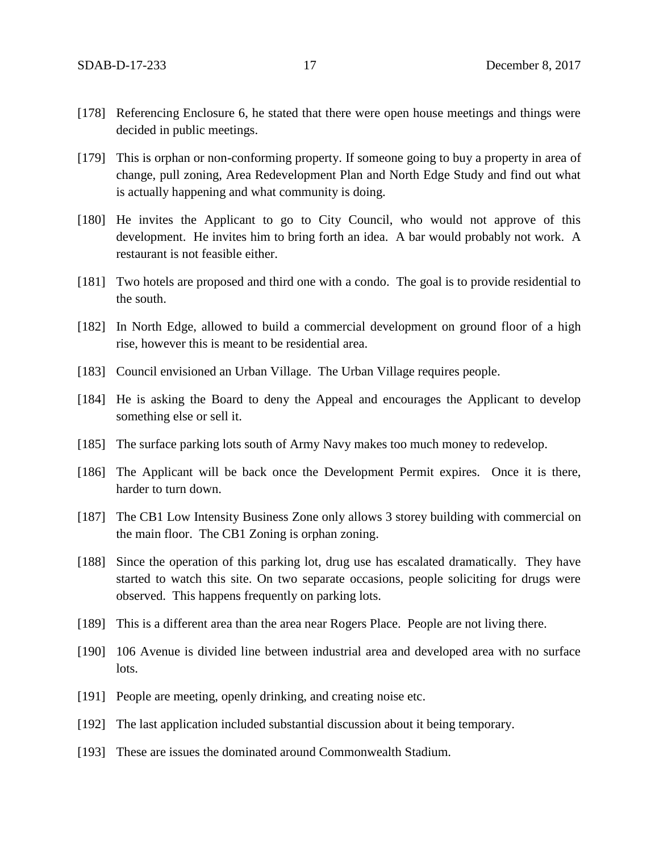- [178] Referencing Enclosure 6, he stated that there were open house meetings and things were decided in public meetings.
- [179] This is orphan or non-conforming property. If someone going to buy a property in area of change, pull zoning, Area Redevelopment Plan and North Edge Study and find out what is actually happening and what community is doing.
- [180] He invites the Applicant to go to City Council, who would not approve of this development. He invites him to bring forth an idea. A bar would probably not work. A restaurant is not feasible either.
- [181] Two hotels are proposed and third one with a condo. The goal is to provide residential to the south.
- [182] In North Edge, allowed to build a commercial development on ground floor of a high rise, however this is meant to be residential area.
- [183] Council envisioned an Urban Village. The Urban Village requires people.
- [184] He is asking the Board to deny the Appeal and encourages the Applicant to develop something else or sell it.
- [185] The surface parking lots south of Army Navy makes too much money to redevelop.
- [186] The Applicant will be back once the Development Permit expires. Once it is there, harder to turn down.
- [187] The CB1 Low Intensity Business Zone only allows 3 storey building with commercial on the main floor. The CB1 Zoning is orphan zoning.
- [188] Since the operation of this parking lot, drug use has escalated dramatically. They have started to watch this site. On two separate occasions, people soliciting for drugs were observed. This happens frequently on parking lots.
- [189] This is a different area than the area near Rogers Place. People are not living there.
- [190] 106 Avenue is divided line between industrial area and developed area with no surface lots.
- [191] People are meeting, openly drinking, and creating noise etc.
- [192] The last application included substantial discussion about it being temporary.
- [193] These are issues the dominated around Commonwealth Stadium.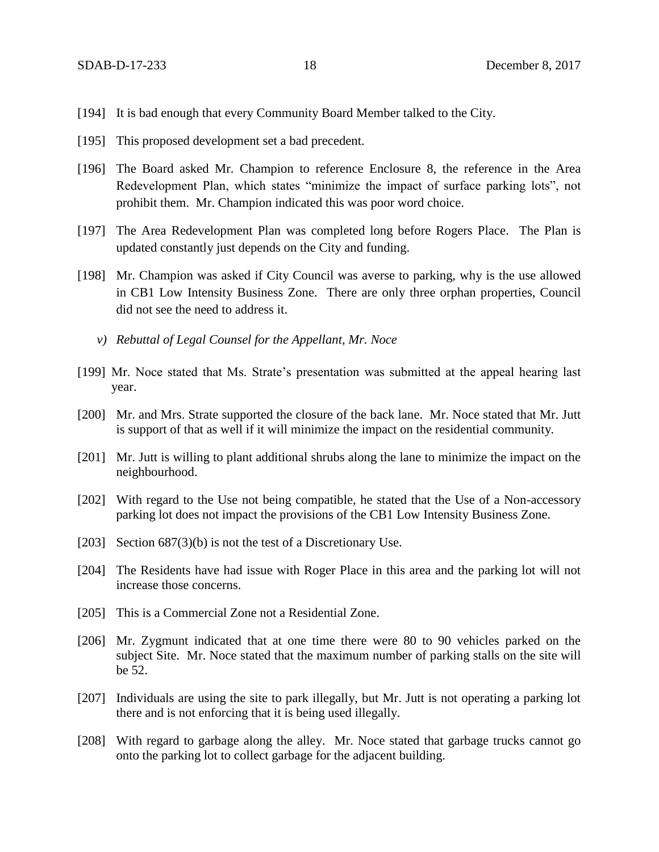- [194] It is bad enough that every Community Board Member talked to the City.
- [195] This proposed development set a bad precedent.
- [196] The Board asked Mr. Champion to reference Enclosure 8, the reference in the Area Redevelopment Plan, which states "minimize the impact of surface parking lots", not prohibit them. Mr. Champion indicated this was poor word choice.
- [197] The Area Redevelopment Plan was completed long before Rogers Place. The Plan is updated constantly just depends on the City and funding.
- [198] Mr. Champion was asked if City Council was averse to parking, why is the use allowed in CB1 Low Intensity Business Zone. There are only three orphan properties, Council did not see the need to address it.
	- *v) Rebuttal of Legal Counsel for the Appellant, Mr. Noce*
- [199] Mr. Noce stated that Ms. Strate's presentation was submitted at the appeal hearing last year.
- [200] Mr. and Mrs. Strate supported the closure of the back lane. Mr. Noce stated that Mr. Jutt is support of that as well if it will minimize the impact on the residential community.
- [201] Mr. Jutt is willing to plant additional shrubs along the lane to minimize the impact on the neighbourhood.
- [202] With regard to the Use not being compatible, he stated that the Use of a Non-accessory parking lot does not impact the provisions of the CB1 Low Intensity Business Zone.
- [203] Section 687(3)(b) is not the test of a Discretionary Use.
- [204] The Residents have had issue with Roger Place in this area and the parking lot will not increase those concerns.
- [205] This is a Commercial Zone not a Residential Zone.
- [206] Mr. Zygmunt indicated that at one time there were 80 to 90 vehicles parked on the subject Site. Mr. Noce stated that the maximum number of parking stalls on the site will be 52.
- [207] Individuals are using the site to park illegally, but Mr. Jutt is not operating a parking lot there and is not enforcing that it is being used illegally.
- [208] With regard to garbage along the alley. Mr. Noce stated that garbage trucks cannot go onto the parking lot to collect garbage for the adjacent building.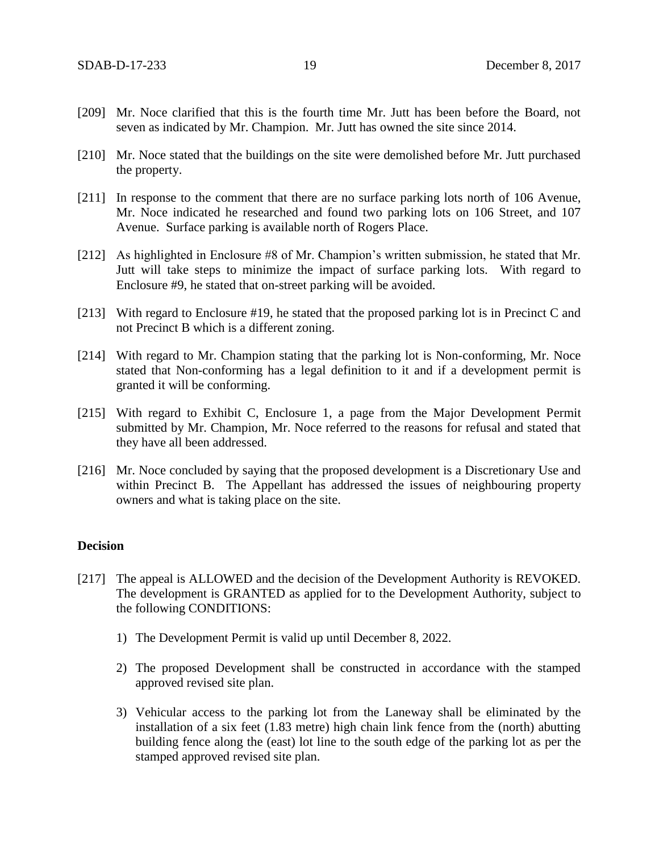- [209] Mr. Noce clarified that this is the fourth time Mr. Jutt has been before the Board, not seven as indicated by Mr. Champion. Mr. Jutt has owned the site since 2014.
- [210] Mr. Noce stated that the buildings on the site were demolished before Mr. Jutt purchased the property.
- [211] In response to the comment that there are no surface parking lots north of 106 Avenue, Mr. Noce indicated he researched and found two parking lots on 106 Street, and 107 Avenue. Surface parking is available north of Rogers Place.
- [212] As highlighted in Enclosure #8 of Mr. Champion's written submission, he stated that Mr. Jutt will take steps to minimize the impact of surface parking lots. With regard to Enclosure #9, he stated that on-street parking will be avoided.
- [213] With regard to Enclosure #19, he stated that the proposed parking lot is in Precinct C and not Precinct B which is a different zoning.
- [214] With regard to Mr. Champion stating that the parking lot is Non-conforming, Mr. Noce stated that Non-conforming has a legal definition to it and if a development permit is granted it will be conforming.
- [215] With regard to Exhibit C, Enclosure 1, a page from the Major Development Permit submitted by Mr. Champion, Mr. Noce referred to the reasons for refusal and stated that they have all been addressed.
- [216] Mr. Noce concluded by saying that the proposed development is a Discretionary Use and within Precinct B. The Appellant has addressed the issues of neighbouring property owners and what is taking place on the site.

## **Decision**

- [217] The appeal is ALLOWED and the decision of the Development Authority is REVOKED. The development is GRANTED as applied for to the Development Authority, subject to the following CONDITIONS:
	- 1) The Development Permit is valid up until December 8, 2022.
	- 2) The proposed Development shall be constructed in accordance with the stamped approved revised site plan.
	- 3) Vehicular access to the parking lot from the Laneway shall be eliminated by the installation of a six feet (1.83 metre) high chain link fence from the (north) abutting building fence along the (east) lot line to the south edge of the parking lot as per the stamped approved revised site plan.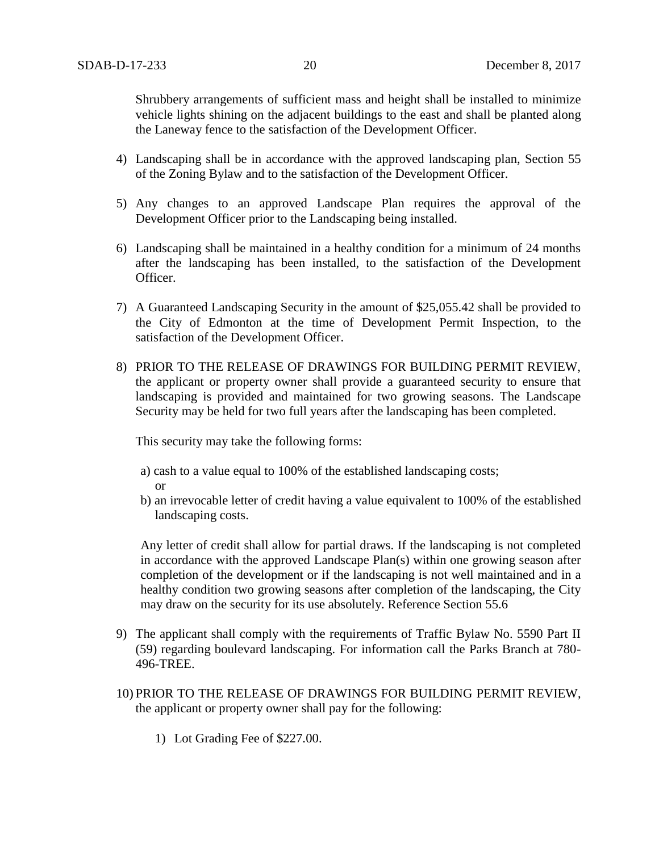Shrubbery arrangements of sufficient mass and height shall be installed to minimize vehicle lights shining on the adjacent buildings to the east and shall be planted along the Laneway fence to the satisfaction of the Development Officer.

- 4) Landscaping shall be in accordance with the approved landscaping plan, Section 55 of the Zoning Bylaw and to the satisfaction of the Development Officer.
- 5) Any changes to an approved Landscape Plan requires the approval of the Development Officer prior to the Landscaping being installed.
- 6) Landscaping shall be maintained in a healthy condition for a minimum of 24 months after the landscaping has been installed, to the satisfaction of the Development Officer.
- 7) A Guaranteed Landscaping Security in the amount of \$25,055.42 shall be provided to the City of Edmonton at the time of Development Permit Inspection, to the satisfaction of the Development Officer.
- 8) PRIOR TO THE RELEASE OF DRAWINGS FOR BUILDING PERMIT REVIEW, the applicant or property owner shall provide a guaranteed security to ensure that landscaping is provided and maintained for two growing seasons. The Landscape Security may be held for two full years after the landscaping has been completed.

This security may take the following forms:

- a) cash to a value equal to 100% of the established landscaping costs; or
- b) an irrevocable letter of credit having a value equivalent to 100% of the established landscaping costs.

Any letter of credit shall allow for partial draws. If the landscaping is not completed in accordance with the approved Landscape Plan(s) within one growing season after completion of the development or if the landscaping is not well maintained and in a healthy condition two growing seasons after completion of the landscaping, the City may draw on the security for its use absolutely. Reference Section 55.6

- 9) The applicant shall comply with the requirements of Traffic Bylaw No. 5590 Part II (59) regarding boulevard landscaping. For information call the Parks Branch at 780- 496-TREE.
- 10) PRIOR TO THE RELEASE OF DRAWINGS FOR BUILDING PERMIT REVIEW, the applicant or property owner shall pay for the following:
	- 1) Lot Grading Fee of \$227.00.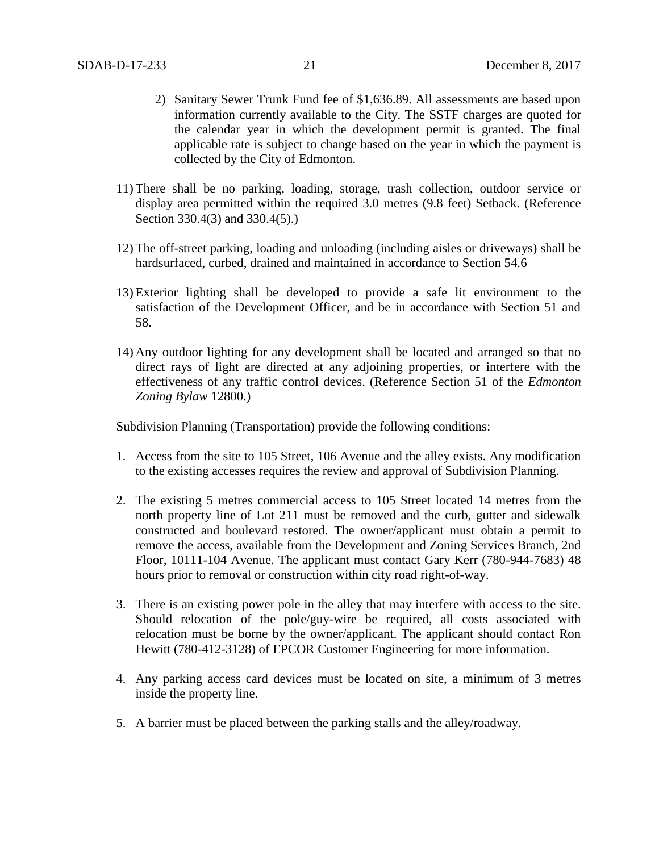- 2) Sanitary Sewer Trunk Fund fee of \$1,636.89. All assessments are based upon information currently available to the City. The SSTF charges are quoted for the calendar year in which the development permit is granted. The final applicable rate is subject to change based on the year in which the payment is collected by the City of Edmonton.
- 11) There shall be no parking, loading, storage, trash collection, outdoor service or display area permitted within the required 3.0 metres (9.8 feet) Setback. (Reference Section 330.4(3) and 330.4(5).)
- 12) The off-street parking, loading and unloading (including aisles or driveways) shall be hardsurfaced, curbed, drained and maintained in accordance to Section 54.6
- 13) Exterior lighting shall be developed to provide a safe lit environment to the satisfaction of the Development Officer, and be in accordance with Section 51 and 58.
- 14) Any outdoor lighting for any development shall be located and arranged so that no direct rays of light are directed at any adjoining properties, or interfere with the effectiveness of any traffic control devices. (Reference Section 51 of the *Edmonton Zoning Bylaw* 12800.)

Subdivision Planning (Transportation) provide the following conditions:

- 1. Access from the site to 105 Street, 106 Avenue and the alley exists. Any modification to the existing accesses requires the review and approval of Subdivision Planning.
- 2. The existing 5 metres commercial access to 105 Street located 14 metres from the north property line of Lot 211 must be removed and the curb, gutter and sidewalk constructed and boulevard restored. The owner/applicant must obtain a permit to remove the access, available from the Development and Zoning Services Branch, 2nd Floor, 10111-104 Avenue. The applicant must contact Gary Kerr (780-944-7683) 48 hours prior to removal or construction within city road right-of-way.
- 3. There is an existing power pole in the alley that may interfere with access to the site. Should relocation of the pole/guy-wire be required, all costs associated with relocation must be borne by the owner/applicant. The applicant should contact Ron Hewitt (780-412-3128) of EPCOR Customer Engineering for more information.
- 4. Any parking access card devices must be located on site, a minimum of 3 metres inside the property line.
- 5. A barrier must be placed between the parking stalls and the alley/roadway.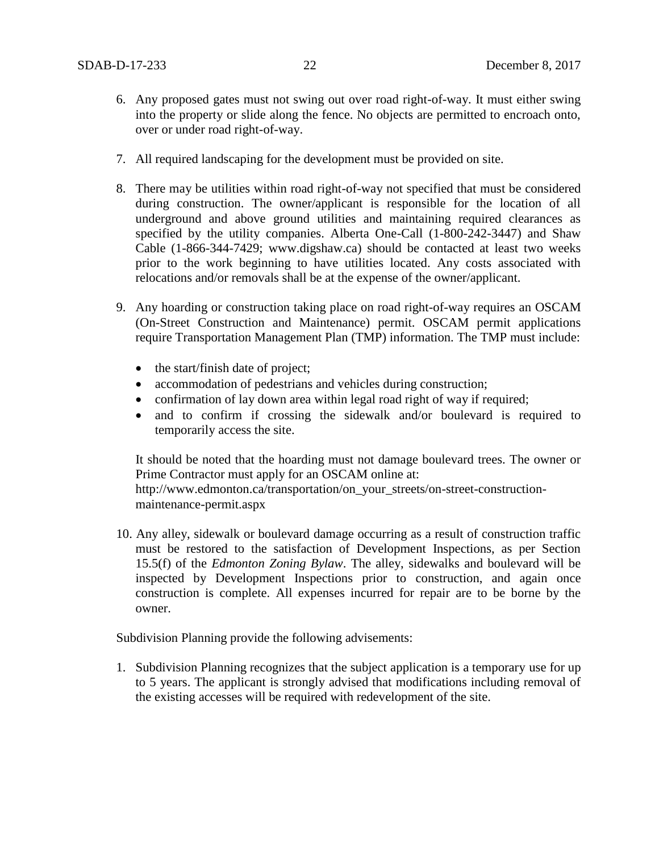- 6. Any proposed gates must not swing out over road right-of-way. It must either swing into the property or slide along the fence. No objects are permitted to encroach onto, over or under road right-of-way.
- 7. All required landscaping for the development must be provided on site.
- 8. There may be utilities within road right-of-way not specified that must be considered during construction. The owner/applicant is responsible for the location of all underground and above ground utilities and maintaining required clearances as specified by the utility companies. Alberta One-Call (1-800-242-3447) and Shaw Cable (1-866-344-7429; www.digshaw.ca) should be contacted at least two weeks prior to the work beginning to have utilities located. Any costs associated with relocations and/or removals shall be at the expense of the owner/applicant.
- 9. Any hoarding or construction taking place on road right-of-way requires an OSCAM (On-Street Construction and Maintenance) permit. OSCAM permit applications require Transportation Management Plan (TMP) information. The TMP must include:
	- the start/finish date of project;
	- accommodation of pedestrians and vehicles during construction;
	- confirmation of lay down area within legal road right of way if required;
	- and to confirm if crossing the sidewalk and/or boulevard is required to temporarily access the site.

It should be noted that the hoarding must not damage boulevard trees. The owner or Prime Contractor must apply for an OSCAM online at:

http://www.edmonton.ca/transportation/on\_your\_streets/on-street-constructionmaintenance-permit.aspx

10. Any alley, sidewalk or boulevard damage occurring as a result of construction traffic must be restored to the satisfaction of Development Inspections, as per Section 15.5(f) of the *Edmonton Zoning Bylaw*. The alley, sidewalks and boulevard will be inspected by Development Inspections prior to construction, and again once construction is complete. All expenses incurred for repair are to be borne by the owner.

Subdivision Planning provide the following advisements:

1. Subdivision Planning recognizes that the subject application is a temporary use for up to 5 years. The applicant is strongly advised that modifications including removal of the existing accesses will be required with redevelopment of the site.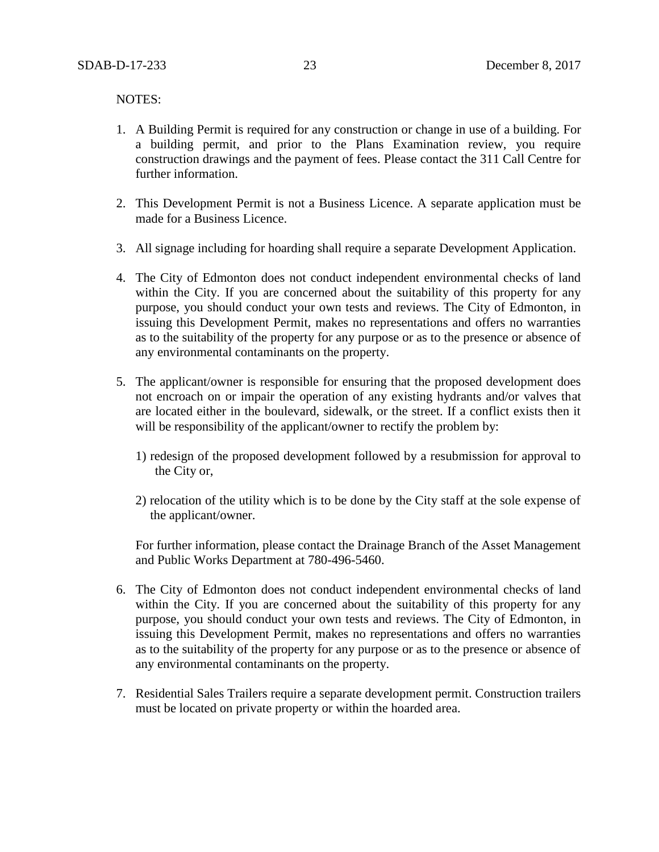NOTES:

- 1. A Building Permit is required for any construction or change in use of a building. For a building permit, and prior to the Plans Examination review, you require construction drawings and the payment of fees. Please contact the 311 Call Centre for further information.
- 2. This Development Permit is not a Business Licence. A separate application must be made for a Business Licence.
- 3. All signage including for hoarding shall require a separate Development Application.
- 4. The City of Edmonton does not conduct independent environmental checks of land within the City. If you are concerned about the suitability of this property for any purpose, you should conduct your own tests and reviews. The City of Edmonton, in issuing this Development Permit, makes no representations and offers no warranties as to the suitability of the property for any purpose or as to the presence or absence of any environmental contaminants on the property.
- 5. The applicant/owner is responsible for ensuring that the proposed development does not encroach on or impair the operation of any existing hydrants and/or valves that are located either in the boulevard, sidewalk, or the street. If a conflict exists then it will be responsibility of the applicant/owner to rectify the problem by:
	- 1) redesign of the proposed development followed by a resubmission for approval to the City or,
	- 2) relocation of the utility which is to be done by the City staff at the sole expense of the applicant/owner.

For further information, please contact the Drainage Branch of the Asset Management and Public Works Department at 780-496-5460.

- 6. The City of Edmonton does not conduct independent environmental checks of land within the City. If you are concerned about the suitability of this property for any purpose, you should conduct your own tests and reviews. The City of Edmonton, in issuing this Development Permit, makes no representations and offers no warranties as to the suitability of the property for any purpose or as to the presence or absence of any environmental contaminants on the property.
- 7. Residential Sales Trailers require a separate development permit. Construction trailers must be located on private property or within the hoarded area.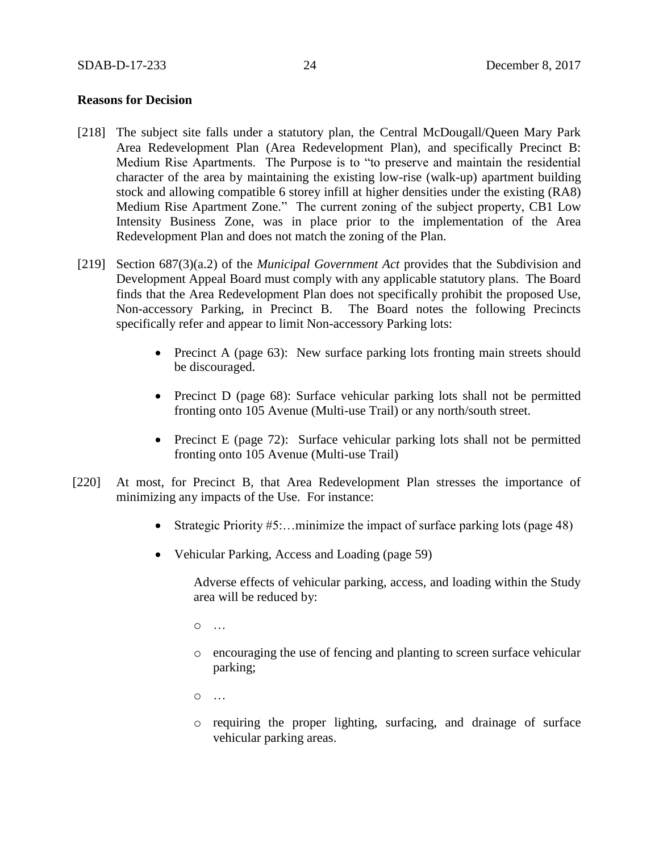## **Reasons for Decision**

- [218] The subject site falls under a statutory plan, the Central McDougall/Queen Mary Park Area Redevelopment Plan (Area Redevelopment Plan), and specifically Precinct B: Medium Rise Apartments. The Purpose is to "to preserve and maintain the residential character of the area by maintaining the existing low-rise (walk-up) apartment building stock and allowing compatible 6 storey infill at higher densities under the existing (RA8) Medium Rise Apartment Zone." The current zoning of the subject property, CB1 Low Intensity Business Zone, was in place prior to the implementation of the Area Redevelopment Plan and does not match the zoning of the Plan.
- [219] Section 687(3)(a.2) of the *Municipal Government Act* provides that the Subdivision and Development Appeal Board must comply with any applicable statutory plans. The Board finds that the Area Redevelopment Plan does not specifically prohibit the proposed Use, Non-accessory Parking, in Precinct B. The Board notes the following Precincts specifically refer and appear to limit Non-accessory Parking lots:
	- Precinct A (page 63): New surface parking lots fronting main streets should be discouraged.
	- Precinct D (page 68): Surface vehicular parking lots shall not be permitted fronting onto 105 Avenue (Multi-use Trail) or any north/south street.
	- Precinct E (page 72): Surface vehicular parking lots shall not be permitted fronting onto 105 Avenue (Multi-use Trail)
- [220] At most, for Precinct B, that Area Redevelopment Plan stresses the importance of minimizing any impacts of the Use. For instance:
	- Strategic Priority  $#5...$  minimize the impact of surface parking lots (page 48)
	- Vehicular Parking, Access and Loading (page 59)

Adverse effects of vehicular parking, access, and loading within the Study area will be reduced by:

 $\Omega$  …

o encouraging the use of fencing and planting to screen surface vehicular parking;

o …

o requiring the proper lighting, surfacing, and drainage of surface vehicular parking areas.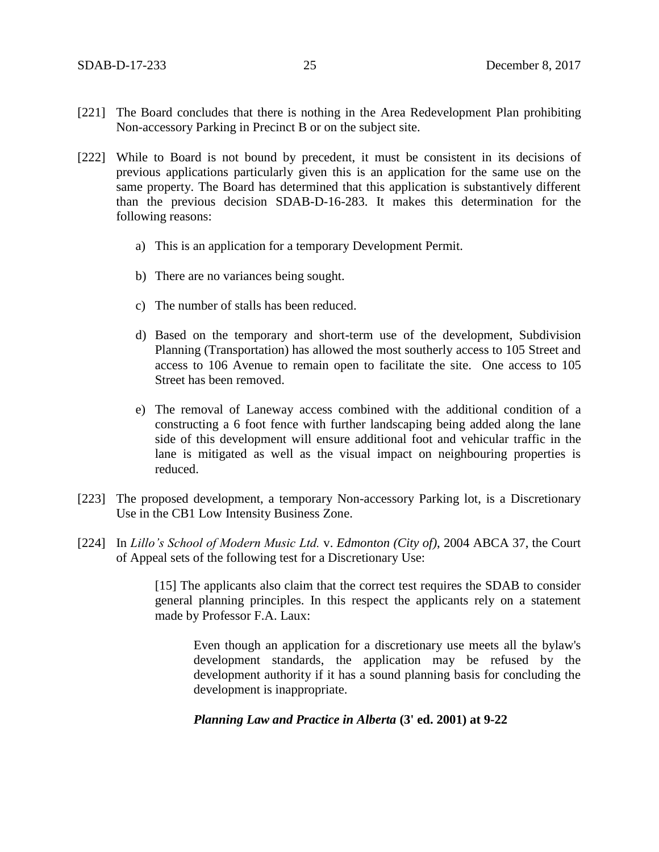- [221] The Board concludes that there is nothing in the Area Redevelopment Plan prohibiting Non-accessory Parking in Precinct B or on the subject site.
- [222] While to Board is not bound by precedent, it must be consistent in its decisions of previous applications particularly given this is an application for the same use on the same property. The Board has determined that this application is substantively different than the previous decision SDAB-D-16-283. It makes this determination for the following reasons:
	- a) This is an application for a temporary Development Permit.
	- b) There are no variances being sought.
	- c) The number of stalls has been reduced.
	- d) Based on the temporary and short-term use of the development, Subdivision Planning (Transportation) has allowed the most southerly access to 105 Street and access to 106 Avenue to remain open to facilitate the site. One access to 105 Street has been removed.
	- e) The removal of Laneway access combined with the additional condition of a constructing a 6 foot fence with further landscaping being added along the lane side of this development will ensure additional foot and vehicular traffic in the lane is mitigated as well as the visual impact on neighbouring properties is reduced.
- [223] The proposed development, a temporary Non-accessory Parking lot, is a Discretionary Use in the CB1 Low Intensity Business Zone.
- [224] In *Lillo's School of Modern Music Ltd.* v. *Edmonton (City of)*, 2004 ABCA 37, the Court of Appeal sets of the following test for a Discretionary Use:

[15] The applicants also claim that the correct test requires the SDAB to consider general planning principles. In this respect the applicants rely on a statement made by Professor F.A. Laux:

Even though an application for a discretionary use meets all the bylaw's development standards, the application may be refused by the development authority if it has a sound planning basis for concluding the development is inappropriate.

#### *Planning Law and Practice in Alberta* **(3' ed. 2001) at 9-22**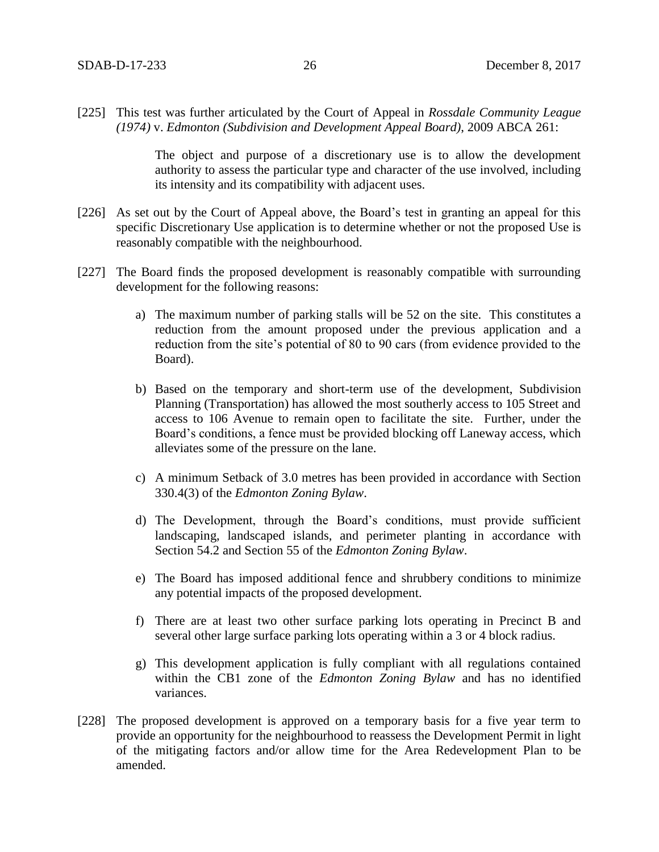[225] This test was further articulated by the Court of Appeal in *Rossdale Community League (1974)* v. *Edmonton (Subdivision and Development Appeal Board)*, 2009 ABCA 261:

> The object and purpose of a discretionary use is to allow the development authority to assess the particular type and character of the use involved, including its intensity and its compatibility with adjacent uses.

- [226] As set out by the Court of Appeal above, the Board's test in granting an appeal for this specific Discretionary Use application is to determine whether or not the proposed Use is reasonably compatible with the neighbourhood.
- [227] The Board finds the proposed development is reasonably compatible with surrounding development for the following reasons:
	- a) The maximum number of parking stalls will be 52 on the site. This constitutes a reduction from the amount proposed under the previous application and a reduction from the site's potential of 80 to 90 cars (from evidence provided to the Board).
	- b) Based on the temporary and short-term use of the development, Subdivision Planning (Transportation) has allowed the most southerly access to 105 Street and access to 106 Avenue to remain open to facilitate the site. Further, under the Board's conditions, a fence must be provided blocking off Laneway access, which alleviates some of the pressure on the lane.
	- c) A minimum Setback of 3.0 metres has been provided in accordance with Section 330.4(3) of the *Edmonton Zoning Bylaw*.
	- d) The Development, through the Board's conditions, must provide sufficient landscaping, landscaped islands, and perimeter planting in accordance with Section 54.2 and Section 55 of the *Edmonton Zoning Bylaw*.
	- e) The Board has imposed additional fence and shrubbery conditions to minimize any potential impacts of the proposed development.
	- f) There are at least two other surface parking lots operating in Precinct B and several other large surface parking lots operating within a 3 or 4 block radius.
	- g) This development application is fully compliant with all regulations contained within the CB1 zone of the *Edmonton Zoning Bylaw* and has no identified variances.
- [228] The proposed development is approved on a temporary basis for a five year term to provide an opportunity for the neighbourhood to reassess the Development Permit in light of the mitigating factors and/or allow time for the Area Redevelopment Plan to be amended.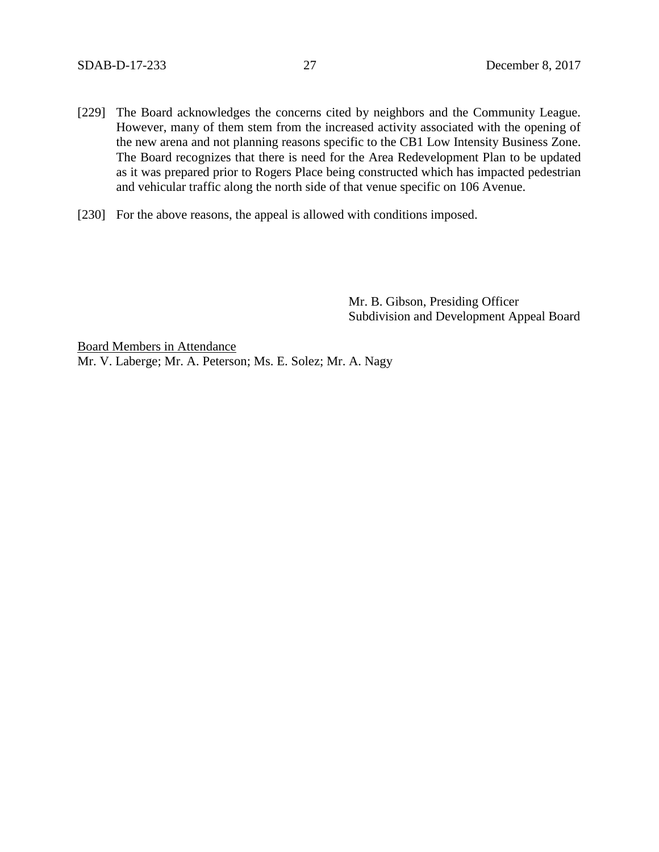- [229] The Board acknowledges the concerns cited by neighbors and the Community League. However, many of them stem from the increased activity associated with the opening of the new arena and not planning reasons specific to the CB1 Low Intensity Business Zone. The Board recognizes that there is need for the Area Redevelopment Plan to be updated as it was prepared prior to Rogers Place being constructed which has impacted pedestrian and vehicular traffic along the north side of that venue specific on 106 Avenue.
- [230] For the above reasons, the appeal is allowed with conditions imposed.

Mr. B. Gibson, Presiding Officer Subdivision and Development Appeal Board

Board Members in Attendance Mr. V. Laberge; Mr. A. Peterson; Ms. E. Solez; Mr. A. Nagy